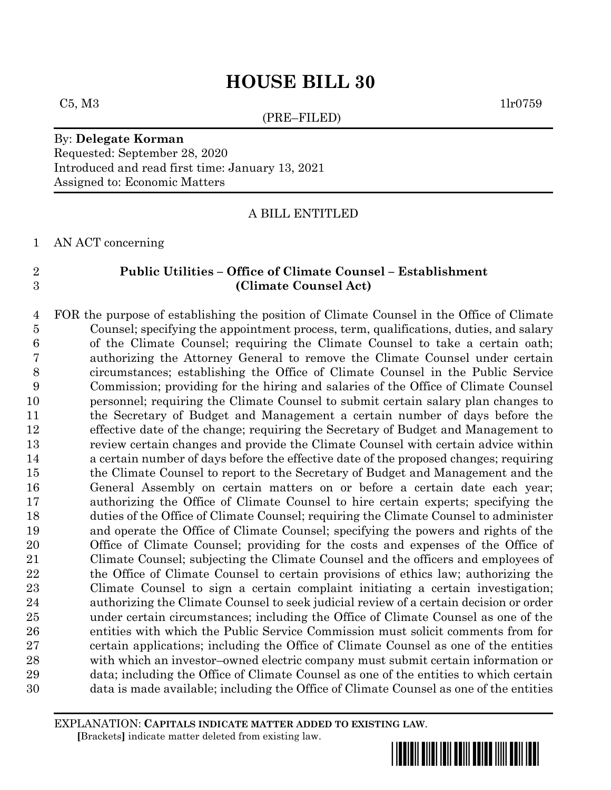# **HOUSE BILL 30**

(PRE–FILED)

 $C5, M3$  1lr0759

#### By: **Delegate Korman** Requested: September 28, 2020 Introduced and read first time: January 13, 2021 Assigned to: Economic Matters

A BILL ENTITLED

AN ACT concerning

#### **Public Utilities – Office of Climate Counsel – Establishment (Climate Counsel Act)**

 FOR the purpose of establishing the position of Climate Counsel in the Office of Climate Counsel; specifying the appointment process, term, qualifications, duties, and salary of the Climate Counsel; requiring the Climate Counsel to take a certain oath; authorizing the Attorney General to remove the Climate Counsel under certain circumstances; establishing the Office of Climate Counsel in the Public Service Commission; providing for the hiring and salaries of the Office of Climate Counsel personnel; requiring the Climate Counsel to submit certain salary plan changes to the Secretary of Budget and Management a certain number of days before the effective date of the change; requiring the Secretary of Budget and Management to review certain changes and provide the Climate Counsel with certain advice within a certain number of days before the effective date of the proposed changes; requiring the Climate Counsel to report to the Secretary of Budget and Management and the General Assembly on certain matters on or before a certain date each year; authorizing the Office of Climate Counsel to hire certain experts; specifying the duties of the Office of Climate Counsel; requiring the Climate Counsel to administer and operate the Office of Climate Counsel; specifying the powers and rights of the Office of Climate Counsel; providing for the costs and expenses of the Office of Climate Counsel; subjecting the Climate Counsel and the officers and employees of the Office of Climate Counsel to certain provisions of ethics law; authorizing the Climate Counsel to sign a certain complaint initiating a certain investigation; authorizing the Climate Counsel to seek judicial review of a certain decision or order under certain circumstances; including the Office of Climate Counsel as one of the entities with which the Public Service Commission must solicit comments from for certain applications; including the Office of Climate Counsel as one of the entities with which an investor–owned electric company must submit certain information or data; including the Office of Climate Counsel as one of the entities to which certain data is made available; including the Office of Climate Counsel as one of the entities

EXPLANATION: **CAPITALS INDICATE MATTER ADDED TO EXISTING LAW**.  **[**Brackets**]** indicate matter deleted from existing law.

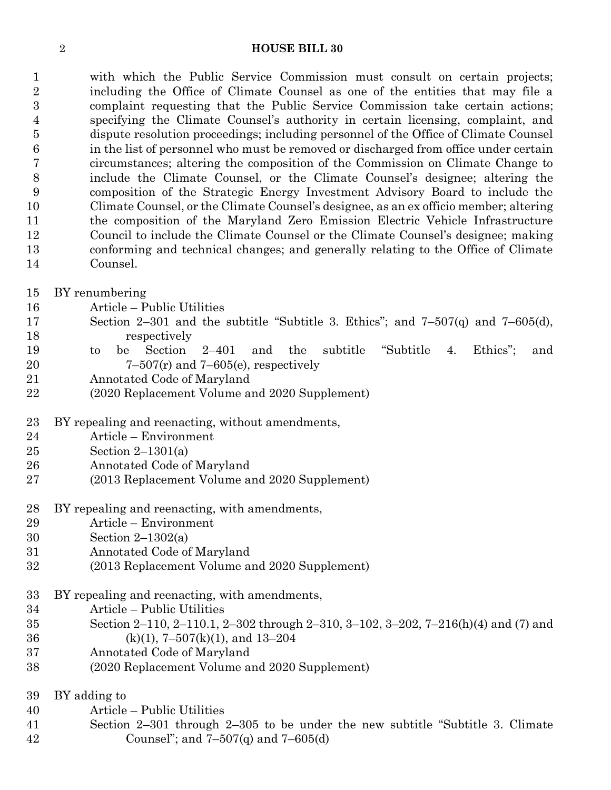#### **HOUSE BILL 30**

 with which the Public Service Commission must consult on certain projects; including the Office of Climate Counsel as one of the entities that may file a complaint requesting that the Public Service Commission take certain actions; specifying the Climate Counsel's authority in certain licensing, complaint, and dispute resolution proceedings; including personnel of the Office of Climate Counsel in the list of personnel who must be removed or discharged from office under certain circumstances; altering the composition of the Commission on Climate Change to include the Climate Counsel, or the Climate Counsel's designee; altering the composition of the Strategic Energy Investment Advisory Board to include the Climate Counsel, or the Climate Counsel's designee, as an ex officio member; altering the composition of the Maryland Zero Emission Electric Vehicle Infrastructure Council to include the Climate Counsel or the Climate Counsel's designee; making conforming and technical changes; and generally relating to the Office of Climate Counsel.

- BY renumbering
- Article Public Utilities
- Section 2–301 and the subtitle "Subtitle 3. Ethics"; and 7–507(q) and 7–605(d), respectively
- to be Section 2–401 and the subtitle "Subtitle 4. Ethics"; and 20  $7-507(r)$  and  $7-605(e)$ , respectively
- Annotated Code of Maryland
- (2020 Replacement Volume and 2020 Supplement)
- BY repealing and reenacting, without amendments,
- Article Environment
- Section 2–1301(a)
- Annotated Code of Maryland
- (2013 Replacement Volume and 2020 Supplement)
- BY repealing and reenacting, with amendments,
- Article Environment
- Section 2–1302(a)
- Annotated Code of Maryland
- (2013 Replacement Volume and 2020 Supplement)
- BY repealing and reenacting, with amendments,
- Article Public Utilities
- Section 2–110, 2–110.1, 2–302 through 2–310, 3–102, 3–202, 7–216(h)(4) and (7) and (k)(1), 7–507(k)(1), and 13–204
- Annotated Code of Maryland
- (2020 Replacement Volume and 2020 Supplement)
- BY adding to
- Article Public Utilities
- Section 2–301 through 2–305 to be under the new subtitle "Subtitle 3. Climate 42 Counsel"; and  $7-507(q)$  and  $7-605(d)$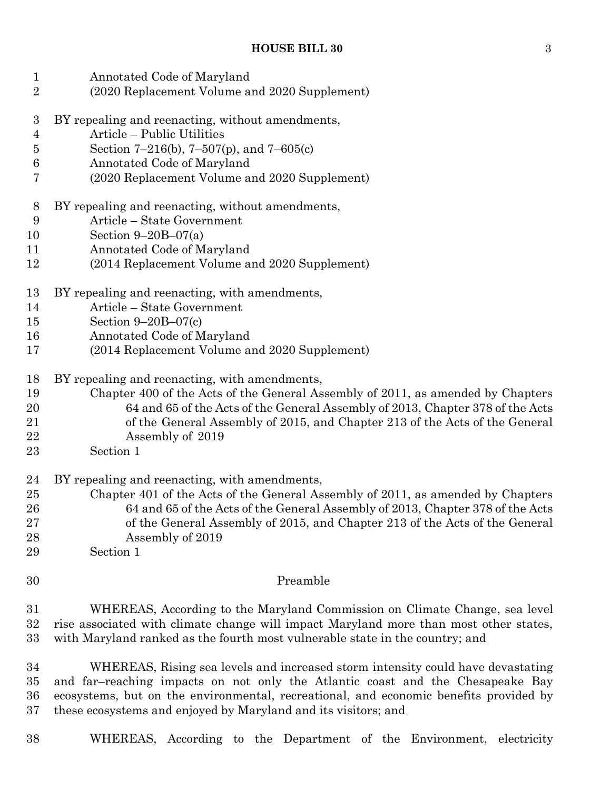| $\mathbf{1}$<br>$\overline{2}$ | Annotated Code of Maryland<br>(2020 Replacement Volume and 2020 Supplement)           |
|--------------------------------|---------------------------------------------------------------------------------------|
| $\boldsymbol{3}$               | BY repealing and reenacting, without amendments,                                      |
| 4                              | Article - Public Utilities                                                            |
| $\overline{5}$                 | Section 7-216(b), 7-507(p), and 7-605(c)                                              |
| $\,6$                          | Annotated Code of Maryland                                                            |
| 7                              | (2020 Replacement Volume and 2020 Supplement)                                         |
| 8                              | BY repealing and reenacting, without amendments,                                      |
| 9                              | Article - State Government                                                            |
| 10                             | Section $9-20B-07(a)$                                                                 |
| 11                             | Annotated Code of Maryland                                                            |
| 12                             | (2014 Replacement Volume and 2020 Supplement)                                         |
| 13                             | BY repealing and reenacting, with amendments,                                         |
| 14                             | Article - State Government                                                            |
| 15                             | Section $9-20B-07(c)$                                                                 |
| 16                             | Annotated Code of Maryland                                                            |
| 17                             | (2014 Replacement Volume and 2020 Supplement)                                         |
| 18                             | BY repealing and reenacting, with amendments,                                         |
| 19                             | Chapter 400 of the Acts of the General Assembly of 2011, as amended by Chapters       |
| 20                             | 64 and 65 of the Acts of the General Assembly of 2013, Chapter 378 of the Acts        |
| 21                             | of the General Assembly of 2015, and Chapter 213 of the Acts of the General           |
| 22                             | Assembly of 2019                                                                      |
| 23                             | Section 1                                                                             |
| 24                             | BY repealing and reenacting, with amendments,                                         |
| 25                             | Chapter 401 of the Acts of the General Assembly of 2011, as amended by Chapters       |
| 26                             | 64 and 65 of the Acts of the General Assembly of 2013, Chapter 378 of the Acts        |
| $27\,$                         | of the General Assembly of 2015, and Chapter 213 of the Acts of the General           |
| 28                             | Assembly of 2019                                                                      |
| 29                             | Section 1                                                                             |
| 30                             | Preamble                                                                              |
| 31                             | WHEREAS, According to the Maryland Commission on Climate Change, sea level            |
| 32                             | rise associated with climate change will impact Maryland more than most other states, |
| 33                             | with Maryland ranked as the fourth most vulnerable state in the country; and          |
| 34                             | WHEREAS, Rising sea levels and increased storm intensity could have devastating       |
| 35                             | and far-reaching impacts on not only the Atlantic coast and the Chesapeake Bay        |
| 36                             | ecosystems, but on the environmental, recreational, and economic benefits provided by |
| 37                             | these ecosystems and enjoyed by Maryland and its visitors; and                        |

WHEREAS, According to the Department of the Environment, electricity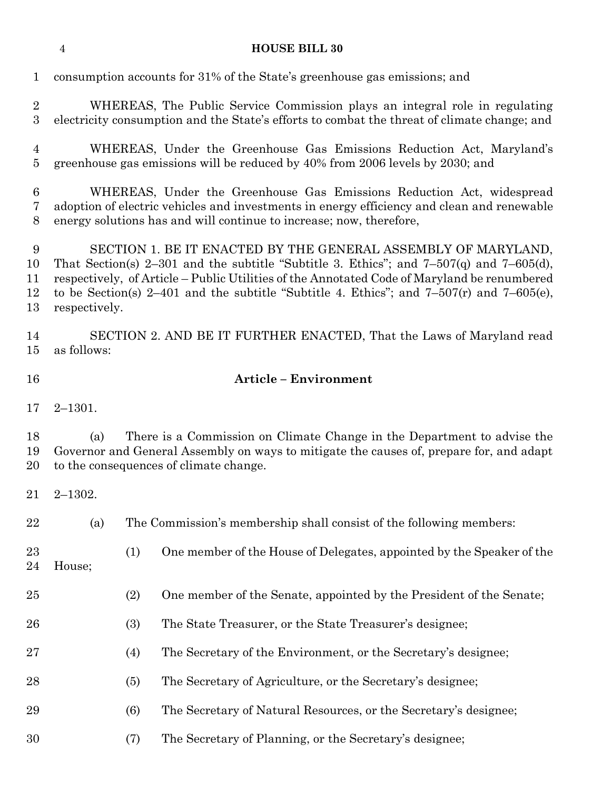|                                  | $\overline{4}$ |     | <b>HOUSE BILL 30</b>                                                                                                                                                                                                                                                                                                                                          |
|----------------------------------|----------------|-----|---------------------------------------------------------------------------------------------------------------------------------------------------------------------------------------------------------------------------------------------------------------------------------------------------------------------------------------------------------------|
| $\mathbf{1}$                     |                |     | consumption accounts for 31% of the State's greenhouse gas emissions; and                                                                                                                                                                                                                                                                                     |
| $\overline{2}$<br>3              |                |     | WHEREAS, The Public Service Commission plays an integral role in regulating<br>electricity consumption and the State's efforts to combat the threat of climate change; and                                                                                                                                                                                    |
| $\overline{4}$<br>$\overline{5}$ |                |     | WHEREAS, Under the Greenhouse Gas Emissions Reduction Act, Maryland's<br>greenhouse gas emissions will be reduced by 40% from 2006 levels by 2030; and                                                                                                                                                                                                        |
| 6<br>7<br>8                      |                |     | WHEREAS, Under the Greenhouse Gas Emissions Reduction Act, widespread<br>adoption of electric vehicles and investments in energy efficiency and clean and renewable<br>energy solutions has and will continue to increase; now, therefore,                                                                                                                    |
| 9<br>10<br>11<br>12<br>13        | respectively.  |     | SECTION 1. BE IT ENACTED BY THE GENERAL ASSEMBLY OF MARYLAND,<br>That Section(s) 2-301 and the subtitle "Subtitle 3. Ethics"; and $7-507(q)$ and $7-605(d)$ ,<br>respectively, of Article - Public Utilities of the Annotated Code of Maryland be renumbered<br>to be Section(s) 2–401 and the subtitle "Subtitle 4. Ethics"; and $7-507(r)$ and $7-605(e)$ , |
| 14<br>15                         | as follows:    |     | SECTION 2. AND BE IT FURTHER ENACTED, That the Laws of Maryland read                                                                                                                                                                                                                                                                                          |
| 16                               |                |     | <b>Article - Environment</b>                                                                                                                                                                                                                                                                                                                                  |
| 17                               | $2 - 1301.$    |     |                                                                                                                                                                                                                                                                                                                                                               |
| 18<br>19<br>20                   | (a)            |     | There is a Commission on Climate Change in the Department to advise the<br>Governor and General Assembly on ways to mitigate the causes of, prepare for, and adapt<br>to the consequences of climate change.                                                                                                                                                  |
| 21                               | $2 - 1302.$    |     |                                                                                                                                                                                                                                                                                                                                                               |
| 22                               | (a)            |     | The Commission's membership shall consist of the following members:                                                                                                                                                                                                                                                                                           |
| 23<br>24                         | House;         | (1) | One member of the House of Delegates, appointed by the Speaker of the                                                                                                                                                                                                                                                                                         |
| $25\,$                           |                | (2) | One member of the Senate, appointed by the President of the Senate;                                                                                                                                                                                                                                                                                           |
| 26                               |                | (3) | The State Treasurer, or the State Treasurer's designee;                                                                                                                                                                                                                                                                                                       |
| $27\,$                           |                | (4) | The Secretary of the Environment, or the Secretary's designee;                                                                                                                                                                                                                                                                                                |
| 28                               |                | (5) | The Secretary of Agriculture, or the Secretary's designee;                                                                                                                                                                                                                                                                                                    |
| 29                               |                | (6) | The Secretary of Natural Resources, or the Secretary's designee;                                                                                                                                                                                                                                                                                              |
| 30                               |                | (7) | The Secretary of Planning, or the Secretary's designee;                                                                                                                                                                                                                                                                                                       |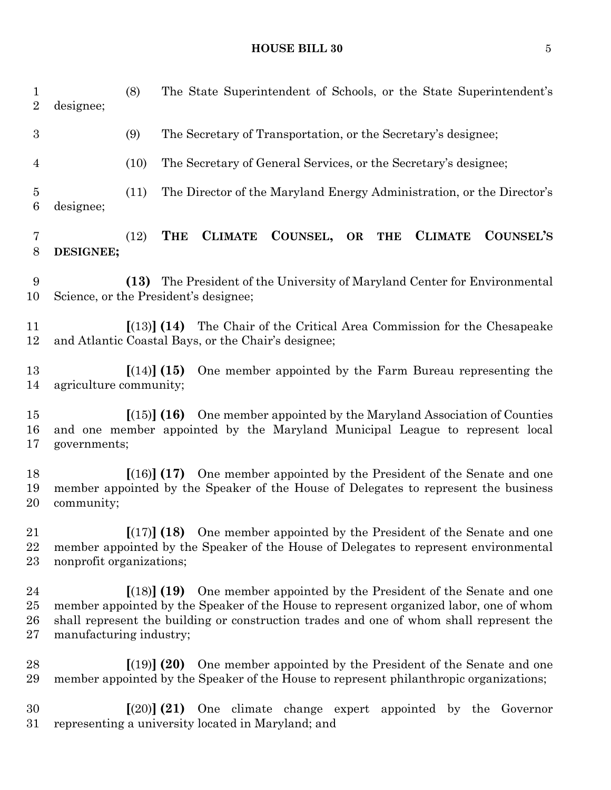| $\mathbf{1}$<br>$\sqrt{2}$ | designee;                             | (8)  |             |                | The State Superintendent of Schools, or the State Superintendent's                                                                                                                                                                                                          |    |            |                |           |
|----------------------------|---------------------------------------|------|-------------|----------------|-----------------------------------------------------------------------------------------------------------------------------------------------------------------------------------------------------------------------------------------------------------------------------|----|------------|----------------|-----------|
| $\boldsymbol{3}$           |                                       | (9)  |             |                | The Secretary of Transportation, or the Secretary's designee;                                                                                                                                                                                                               |    |            |                |           |
| $\overline{4}$             |                                       | (10) |             |                | The Secretary of General Services, or the Secretary's designee;                                                                                                                                                                                                             |    |            |                |           |
| $\overline{5}$<br>6        | designee;                             | (11) |             |                | The Director of the Maryland Energy Administration, or the Director's                                                                                                                                                                                                       |    |            |                |           |
| 7<br>8                     | DESIGNEE;                             | (12) | <b>THE</b>  | <b>CLIMATE</b> | COUNSEL,                                                                                                                                                                                                                                                                    | OR | <b>THE</b> | <b>CLIMATE</b> | COUNSEL'S |
| 9<br>10                    | Science, or the President's designee; | (13) |             |                | The President of the University of Maryland Center for Environmental                                                                                                                                                                                                        |    |            |                |           |
| 11<br>12                   |                                       |      |             |                | $\left[ (13) \right]$ (14) The Chair of the Critical Area Commission for the Chesapeake<br>and Atlantic Coastal Bays, or the Chair's designee;                                                                                                                              |    |            |                |           |
| 13<br>14                   | agriculture community;                |      | [(14)] (15) |                | One member appointed by the Farm Bureau representing the                                                                                                                                                                                                                    |    |            |                |           |
| 15<br>16<br>17             | governments;                          |      |             |                | $\left[ (15) \right]$ (16) One member appointed by the Maryland Association of Counties<br>and one member appointed by the Maryland Municipal League to represent local                                                                                                     |    |            |                |           |
| 18<br>19<br>20             | community;                            |      |             |                | $\lceil (16) \rceil$ (17) One member appointed by the President of the Senate and one<br>member appointed by the Speaker of the House of Delegates to represent the business                                                                                                |    |            |                |           |
| 21<br>22<br>23             | nonprofit organizations;              |      |             |                | $\left[\frac{17}{18}\right]$ (18) One member appointed by the President of the Senate and one<br>member appointed by the Speaker of the House of Delegates to represent environmental                                                                                       |    |            |                |           |
| 24<br>25<br>26<br>27       | manufacturing industry;               |      |             |                | $\left[ (18) \right]$ (19) One member appointed by the President of the Senate and one<br>member appointed by the Speaker of the House to represent organized labor, one of whom<br>shall represent the building or construction trades and one of whom shall represent the |    |            |                |           |
| 28<br>29                   |                                       |      |             |                | $(19)$ (20) One member appointed by the President of the Senate and one<br>member appointed by the Speaker of the House to represent philanthropic organizations;                                                                                                           |    |            |                |           |
| 30<br>31                   |                                       |      |             |                | $\lceil (20) \rceil$ (21) One climate change expert appointed by the Governor<br>representing a university located in Maryland; and                                                                                                                                         |    |            |                |           |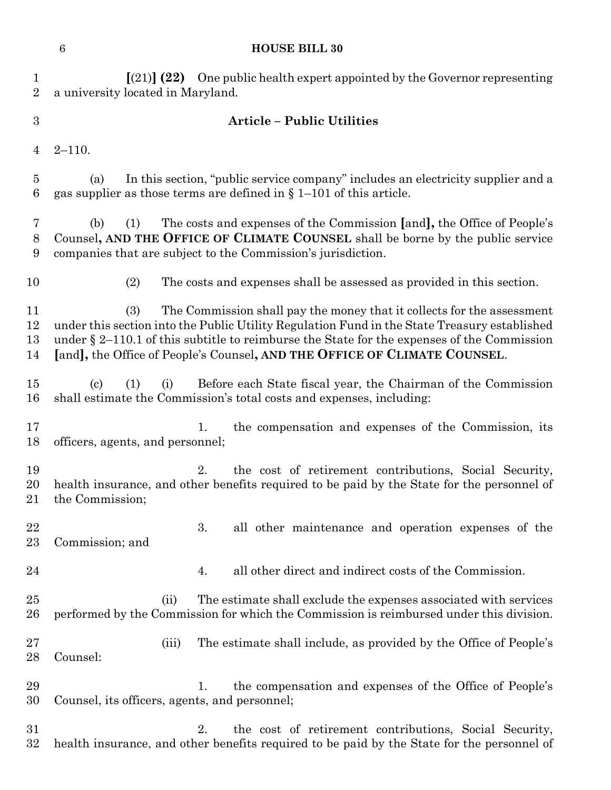# **HOUSE BILL 30**

| $\mathbf{1}$<br>$\overline{2}$ | $(21)$ (22) One public health expert appointed by the Governor representing<br>a university located in Maryland.                                                                                                                                                                                                                                             |  |  |  |  |  |  |  |  |  |  |
|--------------------------------|--------------------------------------------------------------------------------------------------------------------------------------------------------------------------------------------------------------------------------------------------------------------------------------------------------------------------------------------------------------|--|--|--|--|--|--|--|--|--|--|
| 3                              | <b>Article - Public Utilities</b>                                                                                                                                                                                                                                                                                                                            |  |  |  |  |  |  |  |  |  |  |
|                                |                                                                                                                                                                                                                                                                                                                                                              |  |  |  |  |  |  |  |  |  |  |
| 4                              | $2 - 110.$                                                                                                                                                                                                                                                                                                                                                   |  |  |  |  |  |  |  |  |  |  |
| 5<br>6                         | In this section, "public service company" includes an electricity supplier and a<br>(a)<br>gas supplier as those terms are defined in $\S 1-101$ of this article.                                                                                                                                                                                            |  |  |  |  |  |  |  |  |  |  |
| 7<br>8<br>9                    | The costs and expenses of the Commission [and], the Office of People's<br>(b)<br>(1)<br>Counsel, AND THE OFFICE OF CLIMATE COUNSEL shall be borne by the public service<br>companies that are subject to the Commission's jurisdiction.                                                                                                                      |  |  |  |  |  |  |  |  |  |  |
| 10                             | (2)<br>The costs and expenses shall be assessed as provided in this section.                                                                                                                                                                                                                                                                                 |  |  |  |  |  |  |  |  |  |  |
| 11<br>12<br>13<br>14           | (3)<br>The Commission shall pay the money that it collects for the assessment<br>under this section into the Public Utility Regulation Fund in the State Treasury established<br>under $\S 2$ –110.1 of this subtitle to reimburse the State for the expenses of the Commission<br>[and], the Office of People's Counsel, AND THE OFFICE OF CLIMATE COUNSEL. |  |  |  |  |  |  |  |  |  |  |
| 15<br>16                       | Before each State fiscal year, the Chairman of the Commission<br>(1)<br>$\left( \mathrm{c}\right)$<br>(i)<br>shall estimate the Commission's total costs and expenses, including:                                                                                                                                                                            |  |  |  |  |  |  |  |  |  |  |
| 17<br>18                       | the compensation and expenses of the Commission, its<br>1.<br>officers, agents, and personnel;                                                                                                                                                                                                                                                               |  |  |  |  |  |  |  |  |  |  |
| 19<br>20<br>$^{21}$            | the cost of retirement contributions, Social Security,<br>2.<br>health insurance, and other benefits required to be paid by the State for the personnel of<br>the Commission;                                                                                                                                                                                |  |  |  |  |  |  |  |  |  |  |
| 22<br>$23\,$                   | 3.<br>all other maintenance and operation expenses of the<br>Commission; and                                                                                                                                                                                                                                                                                 |  |  |  |  |  |  |  |  |  |  |
| 24                             | all other direct and indirect costs of the Commission.<br>4.                                                                                                                                                                                                                                                                                                 |  |  |  |  |  |  |  |  |  |  |
| 25<br>$26\,$                   | The estimate shall exclude the expenses associated with services<br>(ii)<br>performed by the Commission for which the Commission is reimbursed under this division.                                                                                                                                                                                          |  |  |  |  |  |  |  |  |  |  |
| $27\,$<br>28                   | The estimate shall include, as provided by the Office of People's<br>(iii)<br>Counsel:                                                                                                                                                                                                                                                                       |  |  |  |  |  |  |  |  |  |  |
| 29<br>30                       | the compensation and expenses of the Office of People's<br>1.<br>Counsel, its officers, agents, and personnel;                                                                                                                                                                                                                                               |  |  |  |  |  |  |  |  |  |  |
| $31\,$<br>$32\,$               | the cost of retirement contributions, Social Security,<br>2.<br>health insurance, and other benefits required to be paid by the State for the personnel of                                                                                                                                                                                                   |  |  |  |  |  |  |  |  |  |  |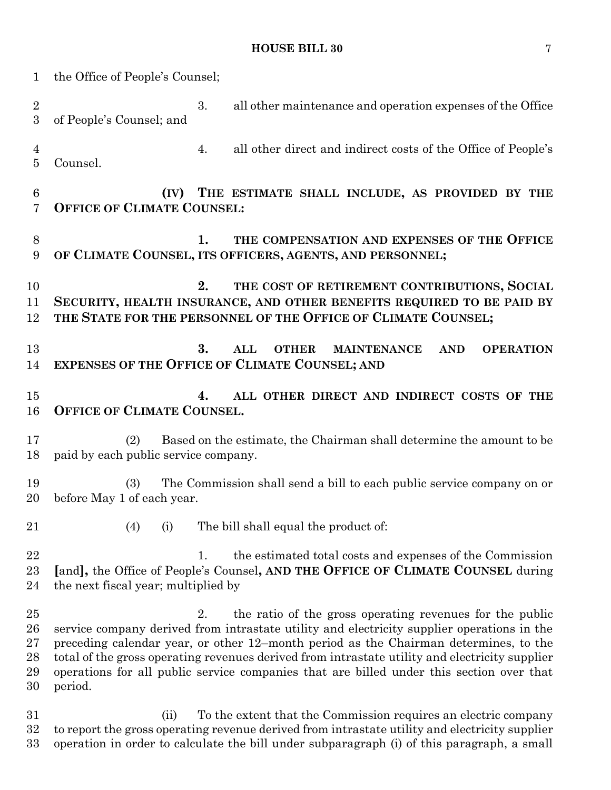| $\mathbf 1$                      | the Office of People's Counsel;             |                                                                                                                                                                                                                                                                                                                                                                                                                                              |
|----------------------------------|---------------------------------------------|----------------------------------------------------------------------------------------------------------------------------------------------------------------------------------------------------------------------------------------------------------------------------------------------------------------------------------------------------------------------------------------------------------------------------------------------|
| $\boldsymbol{2}$<br>3            | 3.<br>of People's Counsel; and              | all other maintenance and operation expenses of the Office                                                                                                                                                                                                                                                                                                                                                                                   |
| $\overline{4}$<br>$\overline{5}$ | 4.<br>Counsel.                              | all other direct and indirect costs of the Office of People's                                                                                                                                                                                                                                                                                                                                                                                |
| $\,6\,$<br>7                     | <b>OFFICE OF CLIMATE COUNSEL:</b>           | (IV) THE ESTIMATE SHALL INCLUDE, AS PROVIDED BY THE                                                                                                                                                                                                                                                                                                                                                                                          |
| 8<br>9                           | 1.                                          | THE COMPENSATION AND EXPENSES OF THE OFFICE<br>OF CLIMATE COUNSEL, ITS OFFICERS, AGENTS, AND PERSONNEL;                                                                                                                                                                                                                                                                                                                                      |
| 10<br>11<br>12                   | 2.                                          | THE COST OF RETIREMENT CONTRIBUTIONS, SOCIAL<br>SECURITY, HEALTH INSURANCE, AND OTHER BENEFITS REQUIRED TO BE PAID BY<br>THE STATE FOR THE PERSONNEL OF THE OFFICE OF CLIMATE COUNSEL;                                                                                                                                                                                                                                                       |
| 13<br>14                         | 3.                                          | ALL<br><b>OTHER</b><br><b>MAINTENANCE</b><br><b>AND</b><br><b>OPERATION</b><br><b>EXPENSES OF THE OFFICE OF CLIMATE COUNSEL; AND</b>                                                                                                                                                                                                                                                                                                         |
| 15<br>16                         | 4.<br>OFFICE OF CLIMATE COUNSEL.            | ALL OTHER DIRECT AND INDIRECT COSTS OF THE                                                                                                                                                                                                                                                                                                                                                                                                   |
| 17<br>18                         | (2)<br>paid by each public service company. | Based on the estimate, the Chairman shall determine the amount to be                                                                                                                                                                                                                                                                                                                                                                         |
| 19<br>20                         | (3)<br>before May 1 of each year.           | The Commission shall send a bill to each public service company on or                                                                                                                                                                                                                                                                                                                                                                        |
| 21                               | (4)<br>(i)                                  | The bill shall equal the product of:                                                                                                                                                                                                                                                                                                                                                                                                         |
| 22<br>23<br>24                   | 1.<br>the next fiscal year; multiplied by   | the estimated total costs and expenses of the Commission<br>[and], the Office of People's Counsel, AND THE OFFICE OF CLIMATE COUNSEL during                                                                                                                                                                                                                                                                                                  |
| 25<br>26<br>27<br>28<br>29<br>30 | 2.<br>period.                               | the ratio of the gross operating revenues for the public<br>service company derived from intrastate utility and electricity supplier operations in the<br>preceding calendar year, or other 12-month period as the Chairman determines, to the<br>total of the gross operating revenues derived from intrastate utility and electricity supplier<br>operations for all public service companies that are billed under this section over that |
| 31                               | (ii)                                        | To the extent that the Commission requires an electric company                                                                                                                                                                                                                                                                                                                                                                               |

32 to report the gross operating revenue derived from intrastate utility and electricity supplier<br>33 operation in order to calculate the bill under subparagraph (i) of this paragraph, a small operation in order to calculate the bill under subparagraph (i) of this paragraph, a small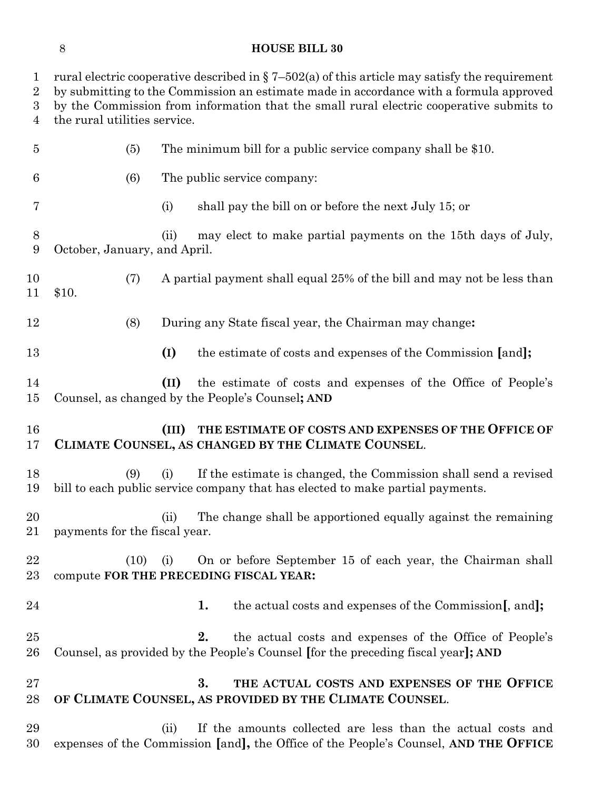#### **HOUSE BILL 30**

1 rural electric cooperative described in  $\S 7-502(a)$  of this article may satisfy the requirement by submitting to the Commission an estimate made in accordance with a formula approved by the Commission from information that the small rural electric cooperative submits to the rural utilities service. (5) The minimum bill for a public service company shall be \$10. (6) The public service company: (i) shall pay the bill on or before the next July 15; or (ii) may elect to make partial payments on the 15th days of July, October, January, and April. (7) A partial payment shall equal 25% of the bill and may not be less than \$10. (8) During any State fiscal year, the Chairman may change**: (I)** the estimate of costs and expenses of the Commission **[**and**]; (II)** the estimate of costs and expenses of the Office of People's Counsel, as changed by the People's Counsel**; AND (III) THE ESTIMATE OF COSTS AND EXPENSES OF THE OFFICE OF CLIMATE COUNSEL, AS CHANGED BY THE CLIMATE COUNSEL**. (9) (i) If the estimate is changed, the Commission shall send a revised bill to each public service company that has elected to make partial payments. (ii) The change shall be apportioned equally against the remaining payments for the fiscal year. (10) (i) On or before September 15 of each year, the Chairman shall compute **FOR THE PRECEDING FISCAL YEAR: 1.** the actual costs and expenses of the Commission**[**, and**]; 2.** the actual costs and expenses of the Office of People's Counsel, as provided by the People's Counsel **[**for the preceding fiscal year**]; AND 3. THE ACTUAL COSTS AND EXPENSES OF THE OFFICE OF CLIMATE COUNSEL, AS PROVIDED BY THE CLIMATE COUNSEL**. (ii) If the amounts collected are less than the actual costs and expenses of the Commission **[**and**],** the Office of the People's Counsel, **AND THE OFFICE**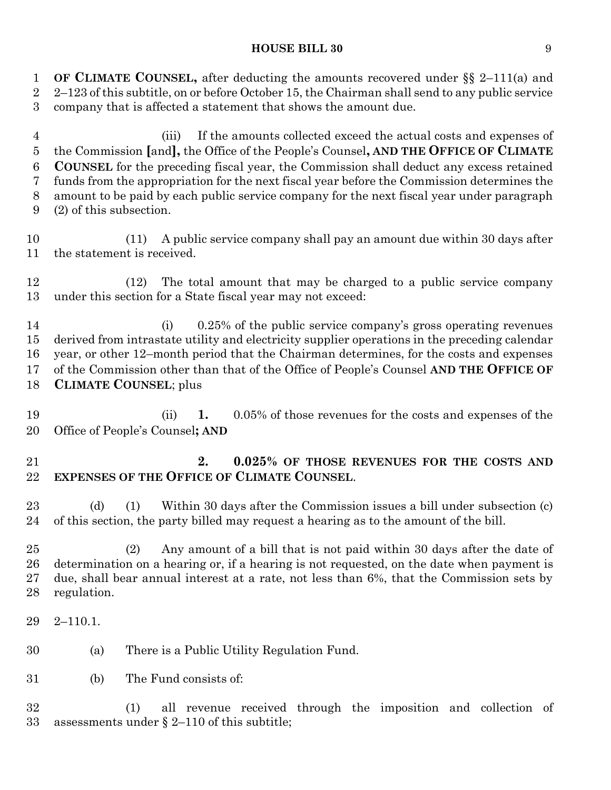**OF CLIMATE COUNSEL,** after deducting the amounts recovered under §§ 2–111(a) and 2–123 of this subtitle, on or before October 15, the Chairman shall send to any public service company that is affected a statement that shows the amount due.

 (iii) If the amounts collected exceed the actual costs and expenses of the Commission **[**and**],** the Office of the People's Counsel**, AND THE OFFICE OF CLIMATE COUNSEL** for the preceding fiscal year, the Commission shall deduct any excess retained funds from the appropriation for the next fiscal year before the Commission determines the amount to be paid by each public service company for the next fiscal year under paragraph (2) of this subsection.

 (11) A public service company shall pay an amount due within 30 days after the statement is received.

 (12) The total amount that may be charged to a public service company under this section for a State fiscal year may not exceed:

 (i) 0.25% of the public service company's gross operating revenues derived from intrastate utility and electricity supplier operations in the preceding calendar year, or other 12–month period that the Chairman determines, for the costs and expenses of the Commission other than that of the Office of People's Counsel **AND THE OFFICE OF CLIMATE COUNSEL**; plus

 (ii) **1.** 0.05% of those revenues for the costs and expenses of the Office of People's Counsel**; AND**

# **2. 0.025% OF THOSE REVENUES FOR THE COSTS AND EXPENSES OF THE OFFICE OF CLIMATE COUNSEL**.

 (d) (1) Within 30 days after the Commission issues a bill under subsection (c) of this section, the party billed may request a hearing as to the amount of the bill.

 (2) Any amount of a bill that is not paid within 30 days after the date of determination on a hearing or, if a hearing is not requested, on the date when payment is due, shall bear annual interest at a rate, not less than 6%, that the Commission sets by regulation.

2–110.1.

(a) There is a Public Utility Regulation Fund.

(b) The Fund consists of:

 (1) all revenue received through the imposition and collection of assessments under § 2–110 of this subtitle;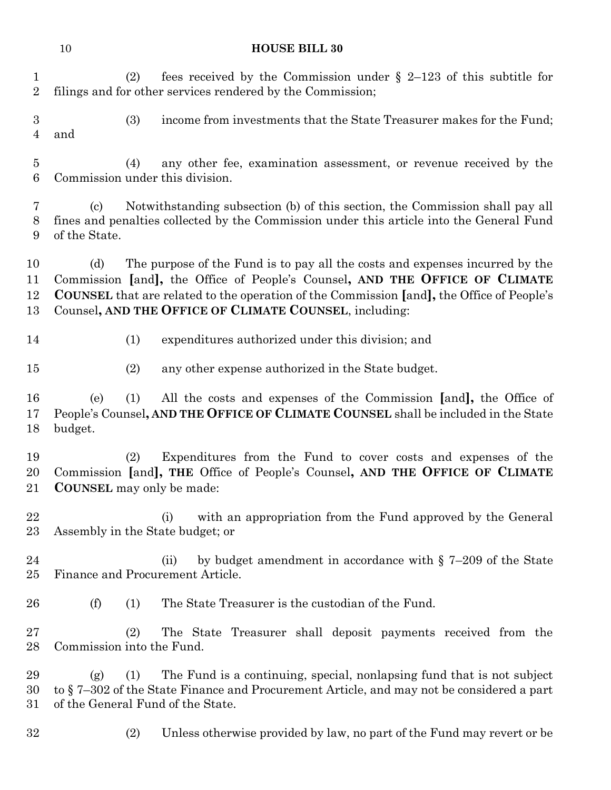|                               | 10                   | <b>HOUSE BILL 30</b>                                                                                                                                                                                                                                                                                                      |
|-------------------------------|----------------------|---------------------------------------------------------------------------------------------------------------------------------------------------------------------------------------------------------------------------------------------------------------------------------------------------------------------------|
| $\mathbf 1$<br>$\overline{2}$ |                      | fees received by the Commission under $\S$ 2-123 of this subtitle for<br>(2)<br>filings and for other services rendered by the Commission;                                                                                                                                                                                |
| 3<br>$\overline{4}$           | and                  | (3)<br>income from investments that the State Treasurer makes for the Fund;                                                                                                                                                                                                                                               |
| $\bf 5$<br>$\boldsymbol{6}$   |                      | any other fee, examination assessment, or revenue received by the<br>(4)<br>Commission under this division.                                                                                                                                                                                                               |
| 7<br>$8\phantom{1}$<br>9      | (c)<br>of the State. | Notwithstanding subsection (b) of this section, the Commission shall pay all<br>fines and penalties collected by the Commission under this article into the General Fund                                                                                                                                                  |
| 10<br>11<br>12<br>13          | (d)                  | The purpose of the Fund is to pay all the costs and expenses incurred by the<br>Commission [and], the Office of People's Counsel, AND THE OFFICE OF CLIMATE<br><b>COUNSEL</b> that are related to the operation of the Commission [and], the Office of People's<br>Counsel, AND THE OFFICE OF CLIMATE COUNSEL, including: |
| 14                            |                      | expenditures authorized under this division; and<br>(1)                                                                                                                                                                                                                                                                   |
| 15                            |                      | any other expense authorized in the State budget.<br>(2)                                                                                                                                                                                                                                                                  |
| 16<br>17<br>18                | (e)<br>budget.       | All the costs and expenses of the Commission [and], the Office of<br>(1)<br>People's Counsel, AND THE OFFICE OF CLIMATE COUNSEL shall be included in the State                                                                                                                                                            |
| 19<br>20<br>21                |                      | Expenditures from the Fund to cover costs and expenses of the<br>(2)<br>Commission [and], THE Office of People's Counsel, AND THE OFFICE OF CLIMATE<br><b>COUNSEL</b> may only be made:                                                                                                                                   |
| $\bf{22}$<br>23               |                      | with an appropriation from the Fund approved by the General<br>(i)<br>Assembly in the State budget; or                                                                                                                                                                                                                    |
| 24<br>25                      |                      | by budget amendment in accordance with $\S$ 7-209 of the State<br>(ii)<br>Finance and Procurement Article.                                                                                                                                                                                                                |
| 26                            | (f)                  | The State Treasurer is the custodian of the Fund.<br>(1)                                                                                                                                                                                                                                                                  |
| 27<br>28                      |                      | The State Treasurer shall deposit payments received from the<br>(2)<br>Commission into the Fund.                                                                                                                                                                                                                          |
| 29<br>30<br>31                | (g)                  | The Fund is a continuing, special, nonlapsing fund that is not subject<br>(1)<br>to $\S$ 7–302 of the State Finance and Procurement Article, and may not be considered a part<br>of the General Fund of the State.                                                                                                        |
| 32                            |                      | Unless otherwise provided by law, no part of the Fund may revert or be<br>(2)                                                                                                                                                                                                                                             |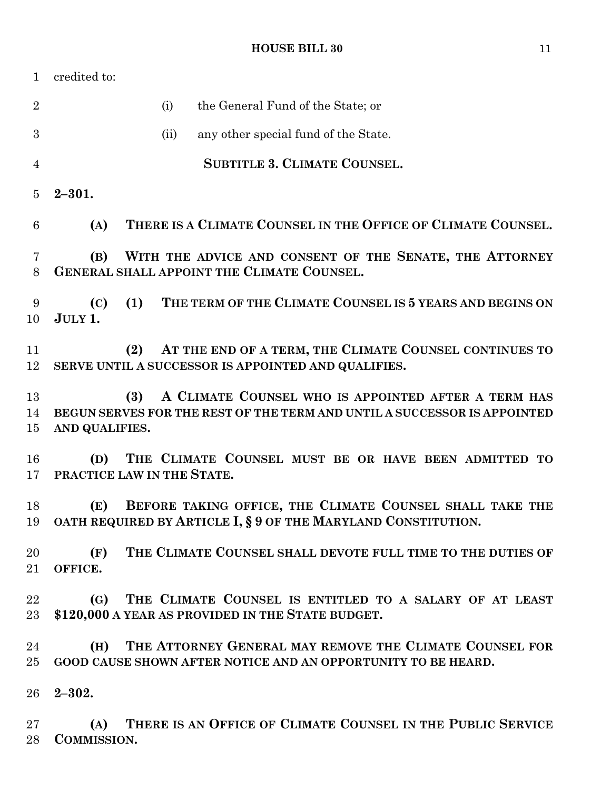credited to: (i) the General Fund of the State; or (ii) any other special fund of the State. **SUBTITLE 3. CLIMATE COUNSEL. 2–301. (A) THERE IS A CLIMATE COUNSEL IN THE OFFICE OF CLIMATE COUNSEL. (B) WITH THE ADVICE AND CONSENT OF THE SENATE, THE ATTORNEY GENERAL SHALL APPOINT THE CLIMATE COUNSEL. (C) (1) THE TERM OF THE CLIMATE COUNSEL IS 5 YEARS AND BEGINS ON JULY 1. (2) AT THE END OF A TERM, THE CLIMATE COUNSEL CONTINUES TO SERVE UNTIL A SUCCESSOR IS APPOINTED AND QUALIFIES. (3) A CLIMATE COUNSEL WHO IS APPOINTED AFTER A TERM HAS BEGUN SERVES FOR THE REST OF THE TERM AND UNTIL A SUCCESSOR IS APPOINTED AND QUALIFIES. (D) THE CLIMATE COUNSEL MUST BE OR HAVE BEEN ADMITTED TO PRACTICE LAW IN THE STATE. (E) BEFORE TAKING OFFICE, THE CLIMATE COUNSEL SHALL TAKE THE OATH REQUIRED BY ARTICLE I, § 9 OF THE MARYLAND CONSTITUTION. (F) THE CLIMATE COUNSEL SHALL DEVOTE FULL TIME TO THE DUTIES OF OFFICE. (G) THE CLIMATE COUNSEL IS ENTITLED TO A SALARY OF AT LEAST \$120,000 A YEAR AS PROVIDED IN THE STATE BUDGET. (H) THE ATTORNEY GENERAL MAY REMOVE THE CLIMATE COUNSEL FOR GOOD CAUSE SHOWN AFTER NOTICE AND AN OPPORTUNITY TO BE HEARD. 2–302. (A) THERE IS AN OFFICE OF CLIMATE COUNSEL IN THE PUBLIC SERVICE COMMISSION.**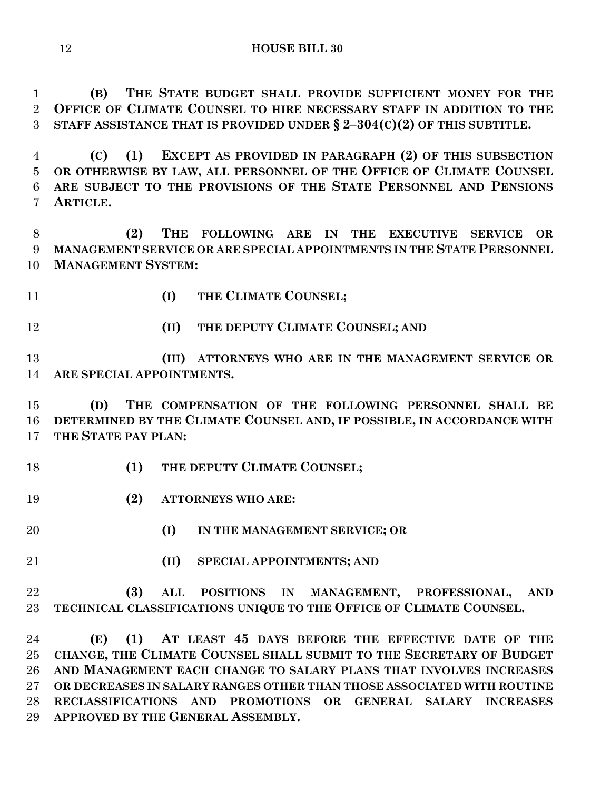**(B) THE STATE BUDGET SHALL PROVIDE SUFFICIENT MONEY FOR THE OFFICE OF CLIMATE COUNSEL TO HIRE NECESSARY STAFF IN ADDITION TO THE STAFF ASSISTANCE THAT IS PROVIDED UNDER § 2–304(C)(2) OF THIS SUBTITLE.**

 **(C) (1) EXCEPT AS PROVIDED IN PARAGRAPH (2) OF THIS SUBSECTION OR OTHERWISE BY LAW, ALL PERSONNEL OF THE OFFICE OF CLIMATE COUNSEL ARE SUBJECT TO THE PROVISIONS OF THE STATE PERSONNEL AND PENSIONS ARTICLE.**

 **(2) THE FOLLOWING ARE IN THE EXECUTIVE SERVICE OR MANAGEMENT SERVICE OR ARE SPECIAL APPOINTMENTS IN THE STATE PERSONNEL MANAGEMENT SYSTEM:**

**(I) THE CLIMATE COUNSEL;**

**(II) THE DEPUTY CLIMATE COUNSEL; AND**

 **(III) ATTORNEYS WHO ARE IN THE MANAGEMENT SERVICE OR ARE SPECIAL APPOINTMENTS.**

 **(D) THE COMPENSATION OF THE FOLLOWING PERSONNEL SHALL BE DETERMINED BY THE CLIMATE COUNSEL AND, IF POSSIBLE, IN ACCORDANCE WITH THE STATE PAY PLAN:**

- **(1) THE DEPUTY CLIMATE COUNSEL;**
- **(2) ATTORNEYS WHO ARE:**
- 

**(I) IN THE MANAGEMENT SERVICE; OR**

**(II) SPECIAL APPOINTMENTS; AND**

 **(3) ALL POSITIONS IN MANAGEMENT, PROFESSIONAL, AND TECHNICAL CLASSIFICATIONS UNIQUE TO THE OFFICE OF CLIMATE COUNSEL.**

 **(E) (1) AT LEAST 45 DAYS BEFORE THE EFFECTIVE DATE OF THE CHANGE, THE CLIMATE COUNSEL SHALL SUBMIT TO THE SECRETARY OF BUDGET AND MANAGEMENT EACH CHANGE TO SALARY PLANS THAT INVOLVES INCREASES OR DECREASES IN SALARY RANGES OTHER THAN THOSE ASSOCIATED WITH ROUTINE RECLASSIFICATIONS AND PROMOTIONS OR GENERAL SALARY INCREASES APPROVED BY THE GENERAL ASSEMBLY.**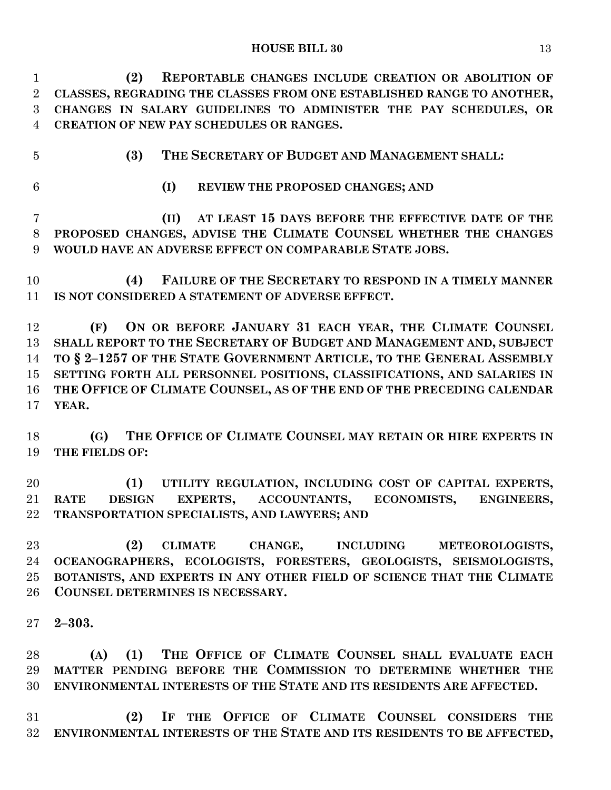**(2) REPORTABLE CHANGES INCLUDE CREATION OR ABOLITION OF CLASSES, REGRADING THE CLASSES FROM ONE ESTABLISHED RANGE TO ANOTHER, CHANGES IN SALARY GUIDELINES TO ADMINISTER THE PAY SCHEDULES, OR CREATION OF NEW PAY SCHEDULES OR RANGES.**

**(3) THE SECRETARY OF BUDGET AND MANAGEMENT SHALL:**

**(I) REVIEW THE PROPOSED CHANGES; AND**

 **(II) AT LEAST 15 DAYS BEFORE THE EFFECTIVE DATE OF THE PROPOSED CHANGES, ADVISE THE CLIMATE COUNSEL WHETHER THE CHANGES WOULD HAVE AN ADVERSE EFFECT ON COMPARABLE STATE JOBS.**

 **(4) FAILURE OF THE SECRETARY TO RESPOND IN A TIMELY MANNER IS NOT CONSIDERED A STATEMENT OF ADVERSE EFFECT.**

 **(F) ON OR BEFORE JANUARY 31 EACH YEAR, THE CLIMATE COUNSEL SHALL REPORT TO THE SECRETARY OF BUDGET AND MANAGEMENT AND, SUBJECT TO § 2–1257 OF THE STATE GOVERNMENT ARTICLE, TO THE GENERAL ASSEMBLY SETTING FORTH ALL PERSONNEL POSITIONS, CLASSIFICATIONS, AND SALARIES IN THE OFFICE OF CLIMATE COUNSEL, AS OF THE END OF THE PRECEDING CALENDAR YEAR.**

 **(G) THE OFFICE OF CLIMATE COUNSEL MAY RETAIN OR HIRE EXPERTS IN THE FIELDS OF:**

 **(1) UTILITY REGULATION, INCLUDING COST OF CAPITAL EXPERTS, RATE DESIGN EXPERTS, ACCOUNTANTS, ECONOMISTS, ENGINEERS, TRANSPORTATION SPECIALISTS, AND LAWYERS; AND**

 **(2) CLIMATE CHANGE, INCLUDING METEOROLOGISTS, OCEANOGRAPHERS, ECOLOGISTS, FORESTERS, GEOLOGISTS, SEISMOLOGISTS, BOTANISTS, AND EXPERTS IN ANY OTHER FIELD OF SCIENCE THAT THE CLIMATE COUNSEL DETERMINES IS NECESSARY.**

**2–303.**

 **(A) (1) THE OFFICE OF CLIMATE COUNSEL SHALL EVALUATE EACH MATTER PENDING BEFORE THE COMMISSION TO DETERMINE WHETHER THE ENVIRONMENTAL INTERESTS OF THE STATE AND ITS RESIDENTS ARE AFFECTED.**

 **(2) IF THE OFFICE OF CLIMATE COUNSEL CONSIDERS THE ENVIRONMENTAL INTERESTS OF THE STATE AND ITS RESIDENTS TO BE AFFECTED,**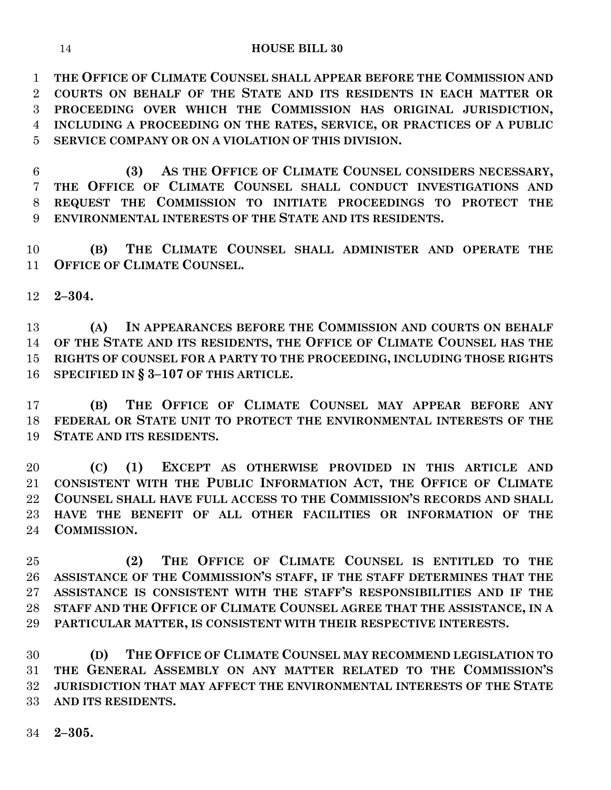**THE OFFICE OF CLIMATE COUNSEL SHALL APPEAR BEFORE THE COMMISSION AND COURTS ON BEHALF OF THE STATE AND ITS RESIDENTS IN EACH MATTER OR PROCEEDING OVER WHICH THE COMMISSION HAS ORIGINAL JURISDICTION, INCLUDING A PROCEEDING ON THE RATES, SERVICE, OR PRACTICES OF A PUBLIC SERVICE COMPANY OR ON A VIOLATION OF THIS DIVISION.**

 **(3) AS THE OFFICE OF CLIMATE COUNSEL CONSIDERS NECESSARY, THE OFFICE OF CLIMATE COUNSEL SHALL CONDUCT INVESTIGATIONS AND REQUEST THE COMMISSION TO INITIATE PROCEEDINGS TO PROTECT THE ENVIRONMENTAL INTERESTS OF THE STATE AND ITS RESIDENTS.**

 **(B) THE CLIMATE COUNSEL SHALL ADMINISTER AND OPERATE THE OFFICE OF CLIMATE COUNSEL.**

**2–304.**

 **(A) IN APPEARANCES BEFORE THE COMMISSION AND COURTS ON BEHALF OF THE STATE AND ITS RESIDENTS, THE OFFICE OF CLIMATE COUNSEL HAS THE RIGHTS OF COUNSEL FOR A PARTY TO THE PROCEEDING, INCLUDING THOSE RIGHTS SPECIFIED IN § 3–107 OF THIS ARTICLE.**

 **(B) THE OFFICE OF CLIMATE COUNSEL MAY APPEAR BEFORE ANY FEDERAL OR STATE UNIT TO PROTECT THE ENVIRONMENTAL INTERESTS OF THE STATE AND ITS RESIDENTS.**

 **(C) (1) EXCEPT AS OTHERWISE PROVIDED IN THIS ARTICLE AND CONSISTENT WITH THE PUBLIC INFORMATION ACT, THE OFFICE OF CLIMATE COUNSEL SHALL HAVE FULL ACCESS TO THE COMMISSION'S RECORDS AND SHALL HAVE THE BENEFIT OF ALL OTHER FACILITIES OR INFORMATION OF THE COMMISSION.**

 **(2) THE OFFICE OF CLIMATE COUNSEL IS ENTITLED TO THE ASSISTANCE OF THE COMMISSION'S STAFF, IF THE STAFF DETERMINES THAT THE ASSISTANCE IS CONSISTENT WITH THE STAFF'S RESPONSIBILITIES AND IF THE STAFF AND THE OFFICE OF CLIMATE COUNSEL AGREE THAT THE ASSISTANCE, IN A PARTICULAR MATTER, IS CONSISTENT WITH THEIR RESPECTIVE INTERESTS.**

 **(D) THE OFFICE OF CLIMATE COUNSEL MAY RECOMMEND LEGISLATION TO THE GENERAL ASSEMBLY ON ANY MATTER RELATED TO THE COMMISSION'S JURISDICTION THAT MAY AFFECT THE ENVIRONMENTAL INTERESTS OF THE STATE AND ITS RESIDENTS.**

**2–305.**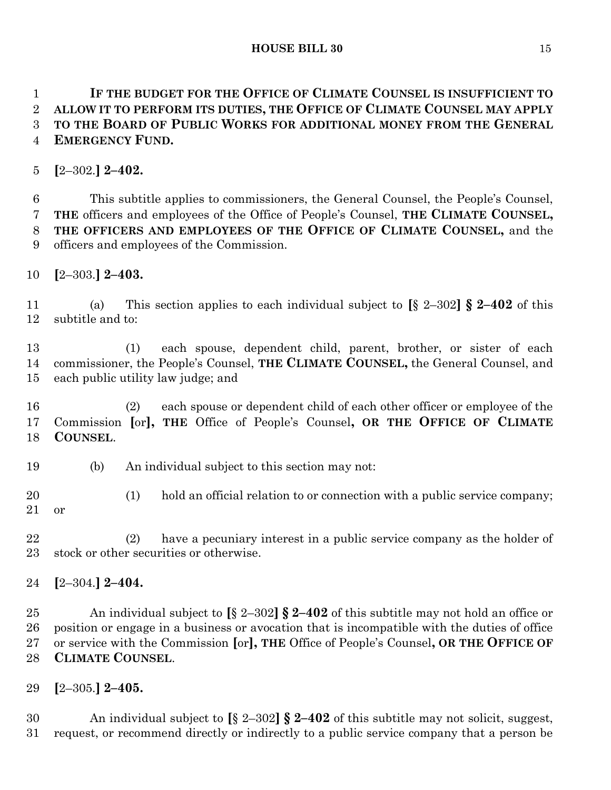**IF THE BUDGET FOR THE OFFICE OF CLIMATE COUNSEL IS INSUFFICIENT TO ALLOW IT TO PERFORM ITS DUTIES, THE OFFICE OF CLIMATE COUNSEL MAY APPLY TO THE BOARD OF PUBLIC WORKS FOR ADDITIONAL MONEY FROM THE GENERAL EMERGENCY FUND.**

**[**2–302.**] 2–402.**

 This subtitle applies to commissioners, the General Counsel, the People's Counsel, **THE** officers and employees of the Office of People's Counsel, **THE CLIMATE COUNSEL, THE OFFICERS AND EMPLOYEES OF THE OFFICE OF CLIMATE COUNSEL,** and the officers and employees of the Commission.

**[**2–303.**] 2–403.**

 (a) This section applies to each individual subject to **[**§ 2–302**] § 2–402** of this subtitle and to:

 (1) each spouse, dependent child, parent, brother, or sister of each commissioner, the People's Counsel, **THE CLIMATE COUNSEL,** the General Counsel, and each public utility law judge; and

 (2) each spouse or dependent child of each other officer or employee of the Commission **[**or**], THE** Office of People's Counsel**, OR THE OFFICE OF CLIMATE COUNSEL**.

- (b) An individual subject to this section may not:
- (1) hold an official relation to or connection with a public service company; or

 (2) have a pecuniary interest in a public service company as the holder of stock or other securities or otherwise.

**[**2–304.**] 2–404.**

 An individual subject to **[**§ 2–302**] § 2–402** of this subtitle may not hold an office or position or engage in a business or avocation that is incompatible with the duties of office or service with the Commission **[**or**], THE** Office of People's Counsel**, OR THE OFFICE OF CLIMATE COUNSEL**.

**[**2–305.**] 2–405.**

 An individual subject to **[**§ 2–302**] § 2–402** of this subtitle may not solicit, suggest, request, or recommend directly or indirectly to a public service company that a person be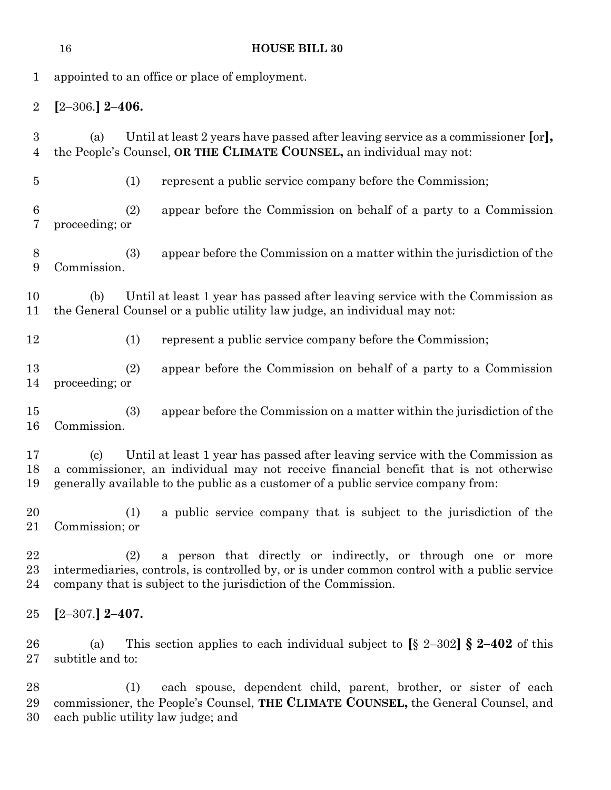|                                    | 16                      | <b>HOUSE BILL 30</b>                                                                                                                                                                                                                                        |
|------------------------------------|-------------------------|-------------------------------------------------------------------------------------------------------------------------------------------------------------------------------------------------------------------------------------------------------------|
| $\mathbf{1}$                       |                         | appointed to an office or place of employment.                                                                                                                                                                                                              |
| $\overline{2}$                     | $[2 - 306]$ 2-406.      |                                                                                                                                                                                                                                                             |
| $\boldsymbol{3}$<br>$\overline{4}$ | (a)                     | Until at least 2 years have passed after leaving service as a commissioner [or],<br>the People's Counsel, OR THE CLIMATE COUNSEL, an individual may not:                                                                                                    |
| $\overline{5}$                     | (1)                     | represent a public service company before the Commission;                                                                                                                                                                                                   |
| 6<br>7                             | (2)<br>proceeding; or   | appear before the Commission on behalf of a party to a Commission                                                                                                                                                                                           |
| 8<br>9                             | (3)<br>Commission.      | appear before the Commission on a matter within the jurisdiction of the                                                                                                                                                                                     |
| 10<br>11                           | (b)                     | Until at least 1 year has passed after leaving service with the Commission as<br>the General Counsel or a public utility law judge, an individual may not:                                                                                                  |
| 12                                 | (1)                     | represent a public service company before the Commission;                                                                                                                                                                                                   |
| 13<br>14                           | (2)<br>proceeding; or   | appear before the Commission on behalf of a party to a Commission                                                                                                                                                                                           |
| 15<br>16                           | (3)<br>Commission.      | appear before the Commission on a matter within the jurisdiction of the                                                                                                                                                                                     |
| 17<br>18<br>19                     | (c)                     | Until at least 1 year has passed after leaving service with the Commission as<br>a commissioner, an individual may not receive financial benefit that is not otherwise<br>generally available to the public as a customer of a public service company from: |
| 20<br>21                           | (1)<br>Commission; or   | a public service company that is subject to the jurisdiction of the                                                                                                                                                                                         |
| 22<br>$^{23}$<br>24                | (2)                     | a person that directly or indirectly, or through one or more<br>intermediaries, controls, is controlled by, or is under common control with a public service<br>company that is subject to the jurisdiction of the Commission.                              |
| 25                                 | $[2 - 307]$ 2-407.      |                                                                                                                                                                                                                                                             |
| $26\,$<br>$27\,$                   | (a)<br>subtitle and to: | This section applies to each individual subject to $\left[\S 2-302\right] \S 2-402$ of this                                                                                                                                                                 |
| 28<br>29                           | (1)                     | each spouse, dependent child, parent, brother, or sister of each<br>commissioner, the People's Counsel, THE CLIMATE COUNSEL, the General Counsel, and                                                                                                       |

each public utility law judge; and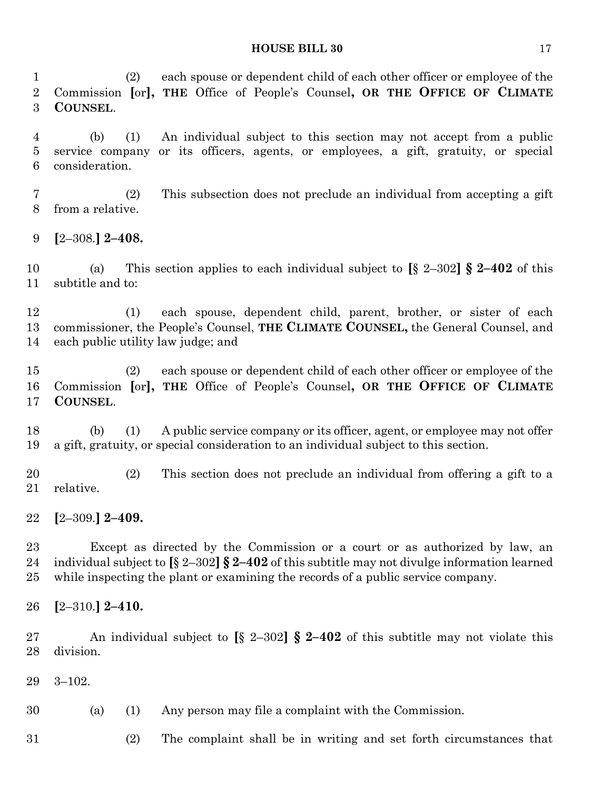(2) each spouse or dependent child of each other officer or employee of the Commission **[**or**], THE** Office of People's Counsel**, OR THE OFFICE OF CLIMATE COUNSEL**.

 (b) (1) An individual subject to this section may not accept from a public service company or its officers, agents, or employees, a gift, gratuity, or special consideration.

 (2) This subsection does not preclude an individual from accepting a gift from a relative.

**[**2–308.**] 2–408.**

 (a) This section applies to each individual subject to **[**§ 2–302**] § 2–402** of this subtitle and to:

 (1) each spouse, dependent child, parent, brother, or sister of each commissioner, the People's Counsel, **THE CLIMATE COUNSEL,** the General Counsel, and each public utility law judge; and

 (2) each spouse or dependent child of each other officer or employee of the Commission **[**or**], THE** Office of People's Counsel**, OR THE OFFICE OF CLIMATE COUNSEL**.

 (b) (1) A public service company or its officer, agent, or employee may not offer a gift, gratuity, or special consideration to an individual subject to this section.

 (2) This section does not preclude an individual from offering a gift to a relative.

**[**2–309.**] 2–409.**

 Except as directed by the Commission or a court or as authorized by law, an individual subject to **[**§ 2–302**] § 2–402** of this subtitle may not divulge information learned while inspecting the plant or examining the records of a public service company.

**[**2–310.**] 2–410.**

 An individual subject to **[**§ 2–302**] § 2–402** of this subtitle may not violate this division.

3–102.

(a) (1) Any person may file a complaint with the Commission.

(2) The complaint shall be in writing and set forth circumstances that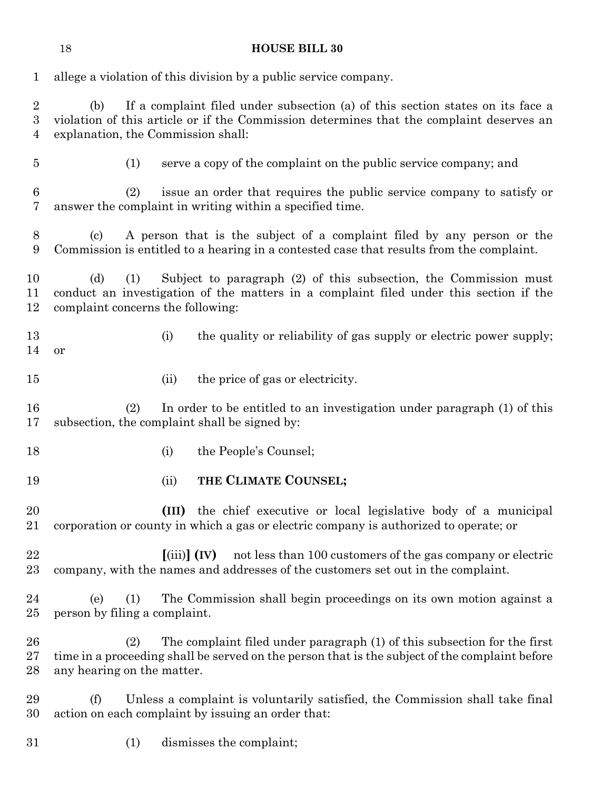# **HOUSE BILL 30**

| $\mathbf{1}$             | allege a violation of this division by a public service company.                                                                                                                                                        |  |  |  |  |  |  |  |  |  |
|--------------------------|-------------------------------------------------------------------------------------------------------------------------------------------------------------------------------------------------------------------------|--|--|--|--|--|--|--|--|--|
| $\overline{2}$<br>3<br>4 | If a complaint filed under subsection (a) of this section states on its face a<br>(b)<br>violation of this article or if the Commission determines that the complaint deserves an<br>explanation, the Commission shall: |  |  |  |  |  |  |  |  |  |
| $\bf 5$                  | serve a copy of the complaint on the public service company; and<br>(1)                                                                                                                                                 |  |  |  |  |  |  |  |  |  |
| 6<br>7                   | issue an order that requires the public service company to satisfy or<br>(2)<br>answer the complaint in writing within a specified time.                                                                                |  |  |  |  |  |  |  |  |  |
| 8<br>9                   | A person that is the subject of a complaint filed by any person or the<br>$\left( \mathrm{e}\right)$<br>Commission is entitled to a hearing in a contested case that results from the complaint.                        |  |  |  |  |  |  |  |  |  |
| 10<br>11<br>12           | (d)<br>Subject to paragraph (2) of this subsection, the Commission must<br>(1)<br>conduct an investigation of the matters in a complaint filed under this section if the<br>complaint concerns the following:           |  |  |  |  |  |  |  |  |  |
| 13<br>14                 | (i)<br>the quality or reliability of gas supply or electric power supply;<br>or                                                                                                                                         |  |  |  |  |  |  |  |  |  |
| 15                       | the price of gas or electricity.<br>(ii)                                                                                                                                                                                |  |  |  |  |  |  |  |  |  |
| 16<br>17                 | (2)<br>In order to be entitled to an investigation under paragraph (1) of this<br>subsection, the complaint shall be signed by:                                                                                         |  |  |  |  |  |  |  |  |  |
| 18                       | the People's Counsel;<br>(i)                                                                                                                                                                                            |  |  |  |  |  |  |  |  |  |
| 19                       | THE CLIMATE COUNSEL;<br>(ii)                                                                                                                                                                                            |  |  |  |  |  |  |  |  |  |
| 20<br>21                 | the chief executive or local legislative body of a municipal<br>(III)<br>corporation or county in which a gas or electric company is authorized to operate; or                                                          |  |  |  |  |  |  |  |  |  |
| 22<br>23                 | $\left[\text{(iii)}\right]$ (IV)<br>not less than 100 customers of the gas company or electric<br>company, with the names and addresses of the customers set out in the complaint.                                      |  |  |  |  |  |  |  |  |  |
| 24<br>25                 | The Commission shall begin proceedings on its own motion against a<br>(e)<br>(1)<br>person by filing a complaint.                                                                                                       |  |  |  |  |  |  |  |  |  |
| 26<br>$27\,$<br>28       | The complaint filed under paragraph (1) of this subsection for the first<br>(2)<br>time in a proceeding shall be served on the person that is the subject of the complaint before<br>any hearing on the matter.         |  |  |  |  |  |  |  |  |  |
| 29<br>30                 | (f)<br>Unless a complaint is voluntarily satisfied, the Commission shall take final<br>action on each complaint by issuing an order that:                                                                               |  |  |  |  |  |  |  |  |  |
| $31\,$                   | dismisses the complaint;<br>(1)                                                                                                                                                                                         |  |  |  |  |  |  |  |  |  |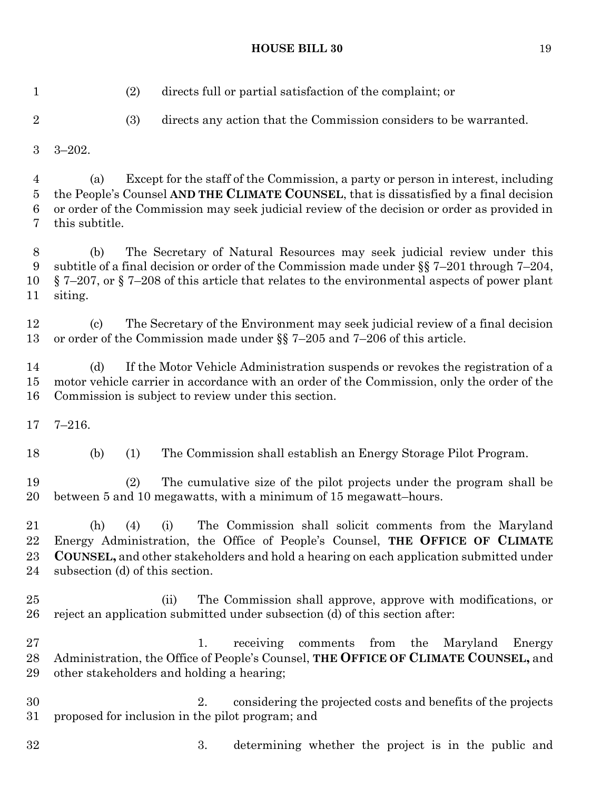(2) directs full or partial satisfaction of the complaint; or (3) directs any action that the Commission considers to be warranted. 3–202. (a) Except for the staff of the Commission, a party or person in interest, including the People's Counsel **AND THE CLIMATE COUNSEL**, that is dissatisfied by a final decision or order of the Commission may seek judicial review of the decision or order as provided in this subtitle. (b) The Secretary of Natural Resources may seek judicial review under this subtitle of a final decision or order of the Commission made under §§ 7–201 through 7–204, § 7–207, or § 7–208 of this article that relates to the environmental aspects of power plant siting. (c) The Secretary of the Environment may seek judicial review of a final decision or order of the Commission made under §§ 7–205 and 7–206 of this article. (d) If the Motor Vehicle Administration suspends or revokes the registration of a motor vehicle carrier in accordance with an order of the Commission, only the order of the Commission is subject to review under this section. 7–216. (b) (1) The Commission shall establish an Energy Storage Pilot Program. (2) The cumulative size of the pilot projects under the program shall be between 5 and 10 megawatts, with a minimum of 15 megawatt–hours. (h) (4) (i) The Commission shall solicit comments from the Maryland Energy Administration, the Office of People's Counsel, **THE OFFICE OF CLIMATE COUNSEL,** and other stakeholders and hold a hearing on each application submitted under subsection (d) of this section. (ii) The Commission shall approve, approve with modifications, or reject an application submitted under subsection (d) of this section after: 27 1. receiving comments from the Maryland Energy Administration, the Office of People's Counsel, **THE OFFICE OF CLIMATE COUNSEL,** and other stakeholders and holding a hearing; 2. considering the projected costs and benefits of the projects proposed for inclusion in the pilot program; and

3. determining whether the project is in the public and

**HOUSE BILL 30** 19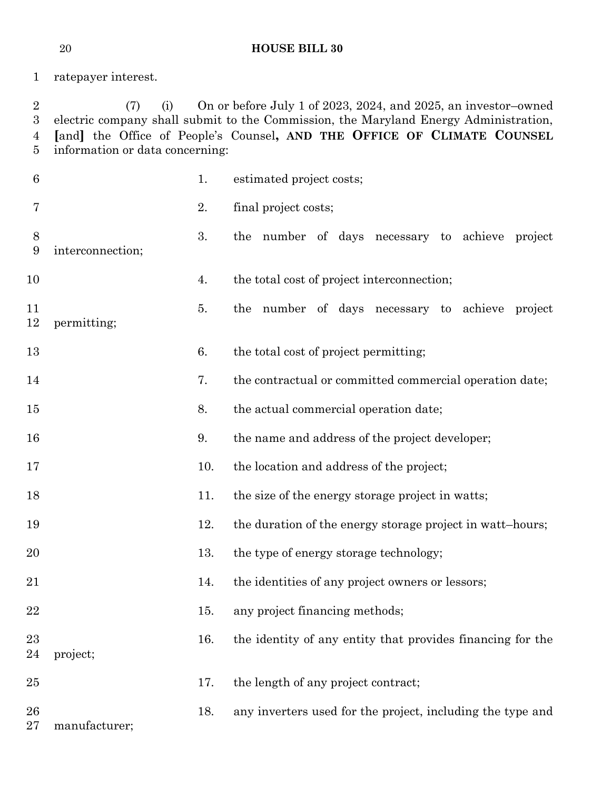ratepayer interest.

 (7) (i) On or before July 1 of 2023, 2024, and 2025, an investor–owned electric company shall submit to the Commission, the Maryland Energy Administration, **[**and**]** the Office of People's Counsel**, AND THE OFFICE OF CLIMATE COUNSEL** information or data concerning:

| $6\phantom{.}6$ |                  | 1.  | estimated project costs;                                   |
|-----------------|------------------|-----|------------------------------------------------------------|
| 7               |                  | 2.  | final project costs;                                       |
| 8<br>9          | interconnection; | 3.  | the number of days necessary to achieve project            |
| 10              |                  | 4.  | the total cost of project interconnection;                 |
| 11<br>12        | permitting;      | 5.  | the number of days necessary to achieve project            |
| 13              |                  | 6.  | the total cost of project permitting;                      |
| 14              |                  | 7.  | the contractual or committed commercial operation date;    |
| 15              |                  | 8.  | the actual commercial operation date;                      |
| 16              |                  | 9.  | the name and address of the project developer;             |
| 17              |                  | 10. | the location and address of the project;                   |
| 18              |                  | 11. | the size of the energy storage project in watts;           |
| 19              |                  | 12. | the duration of the energy storage project in watt-hours;  |
| 20              |                  | 13. | the type of energy storage technology;                     |
| 21              |                  | 14. | the identities of any project owners or lessors;           |
| 22              |                  | 15. | any project financing methods;                             |
| 23<br>24        | project;         | 16. | the identity of any entity that provides financing for the |
| 25              |                  | 17. | the length of any project contract;                        |
| 26<br>27        | manufacturer;    | 18. | any inverters used for the project, including the type and |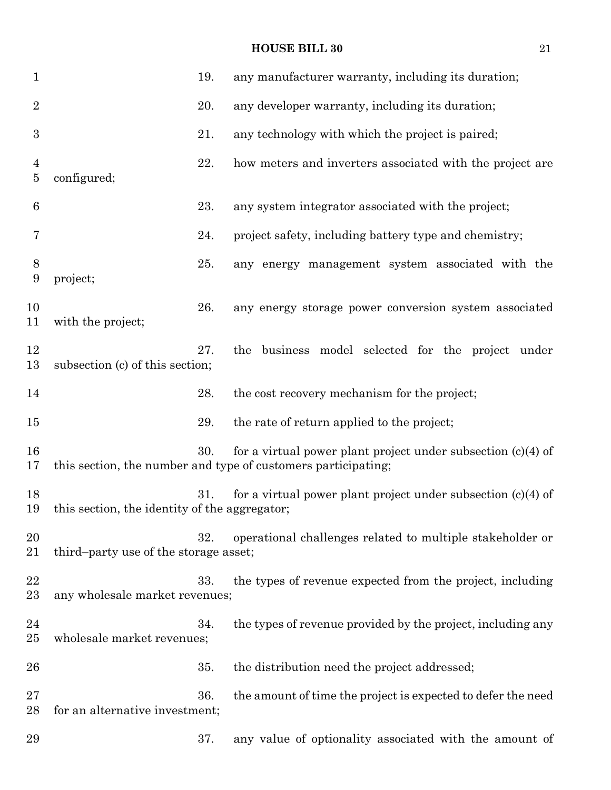| $\mathbf{1}$                     |                                               | 19. | any manufacturer warranty, including its duration;                                                                              |
|----------------------------------|-----------------------------------------------|-----|---------------------------------------------------------------------------------------------------------------------------------|
| $\overline{2}$                   |                                               | 20. | any developer warranty, including its duration;                                                                                 |
| $\boldsymbol{3}$                 |                                               | 21. | any technology with which the project is paired;                                                                                |
| $\overline{4}$<br>$\overline{5}$ | configured;                                   | 22. | how meters and inverters associated with the project are                                                                        |
| 6                                |                                               | 23. | any system integrator associated with the project;                                                                              |
| 7                                |                                               | 24. | project safety, including battery type and chemistry;                                                                           |
| 8<br>9                           | project;                                      | 25. | any energy management system associated with the                                                                                |
| 10<br>11                         | with the project;                             | 26. | any energy storage power conversion system associated                                                                           |
| 12<br>13                         | subsection (c) of this section;               | 27. | the business model selected for the project under                                                                               |
| 14                               |                                               | 28. | the cost recovery mechanism for the project;                                                                                    |
| 15                               |                                               | 29. | the rate of return applied to the project;                                                                                      |
| 16<br>17                         |                                               | 30. | for a virtual power plant project under subsection $(c)(4)$ of<br>this section, the number and type of customers participating; |
| 18<br>19                         | this section, the identity of the aggregator; | 31. | for a virtual power plant project under subsection $(c)(4)$ of                                                                  |
| 20<br>21                         | third-party use of the storage asset;         | 32. | operational challenges related to multiple stakeholder or                                                                       |
| 22<br>23                         | any wholesale market revenues;                | 33. | the types of revenue expected from the project, including                                                                       |
| 24<br>25                         | wholesale market revenues;                    | 34. | the types of revenue provided by the project, including any                                                                     |
| 26                               |                                               | 35. | the distribution need the project addressed;                                                                                    |
| $27\,$<br>28                     | for an alternative investment;                | 36. | the amount of time the project is expected to defer the need                                                                    |
| 29                               |                                               | 37. | any value of optionality associated with the amount of                                                                          |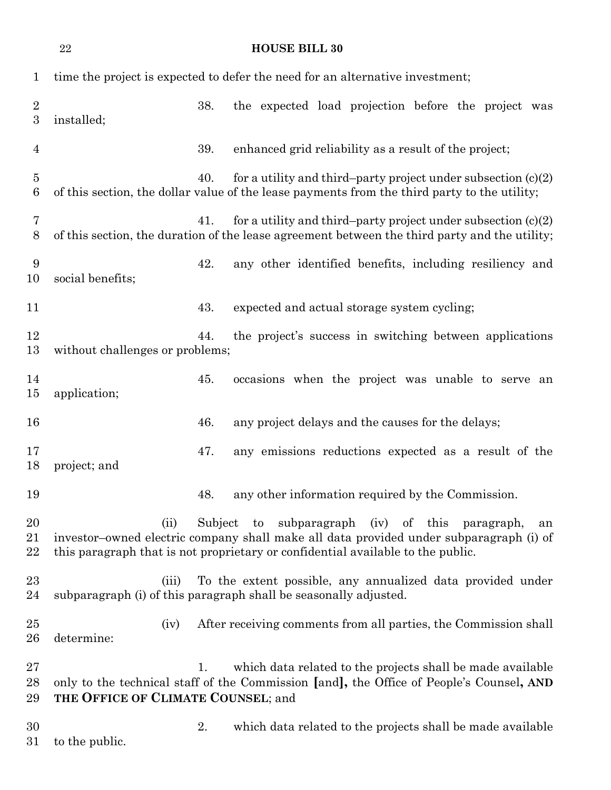|                                      | 22                                 | <b>HOUSE BILL 30</b>                                                                                                                                                                                                                        |
|--------------------------------------|------------------------------------|---------------------------------------------------------------------------------------------------------------------------------------------------------------------------------------------------------------------------------------------|
| $\mathbf{1}$                         |                                    | time the project is expected to defer the need for an alternative investment;                                                                                                                                                               |
| $\boldsymbol{2}$<br>$\boldsymbol{3}$ | installed;                         | 38.<br>the expected load projection before the project was                                                                                                                                                                                  |
| 4                                    |                                    | 39.<br>enhanced grid reliability as a result of the project;                                                                                                                                                                                |
| $\overline{5}$<br>6                  |                                    | for a utility and third-party project under subsection $(c)(2)$<br>40.<br>of this section, the dollar value of the lease payments from the third party to the utility;                                                                      |
| 7<br>8                               |                                    | for a utility and third-party project under subsection $(c)(2)$<br>41.<br>of this section, the duration of the lease agreement between the third party and the utility;                                                                     |
| 9<br>10                              | social benefits;                   | 42.<br>any other identified benefits, including resiliency and                                                                                                                                                                              |
| 11                                   |                                    | 43.<br>expected and actual storage system cycling;                                                                                                                                                                                          |
| 12<br>13                             | without challenges or problems;    | 44.<br>the project's success in switching between applications                                                                                                                                                                              |
| 14<br>15                             | application;                       | occasions when the project was unable to serve an<br>45.                                                                                                                                                                                    |
| 16                                   |                                    | 46.<br>any project delays and the causes for the delays;                                                                                                                                                                                    |
| 17<br>18                             | project; and                       | 47.<br>any emissions reductions expected as a result of the                                                                                                                                                                                 |
| 19                                   |                                    | any other information required by the Commission.<br>48.                                                                                                                                                                                    |
| 20<br>21<br>22                       | (ii)                               | subparagraph (iv) of this<br>Subject<br>to<br>paragraph,<br>an<br>investor-owned electric company shall make all data provided under subparagraph (i) of<br>this paragraph that is not proprietary or confidential available to the public. |
| $^{23}$<br>24                        | (iii)                              | To the extent possible, any annualized data provided under<br>subparagraph (i) of this paragraph shall be seasonally adjusted.                                                                                                              |
| 25<br>26                             | (iv)<br>determine:                 | After receiving comments from all parties, the Commission shall                                                                                                                                                                             |
| $27\,$<br>28<br>29                   | THE OFFICE OF CLIMATE COUNSEL; and | which data related to the projects shall be made available<br>1.<br>only to the technical staff of the Commission [and], the Office of People's Counsel, AND                                                                                |
| 30<br>31                             | to the public.                     | 2.<br>which data related to the projects shall be made available                                                                                                                                                                            |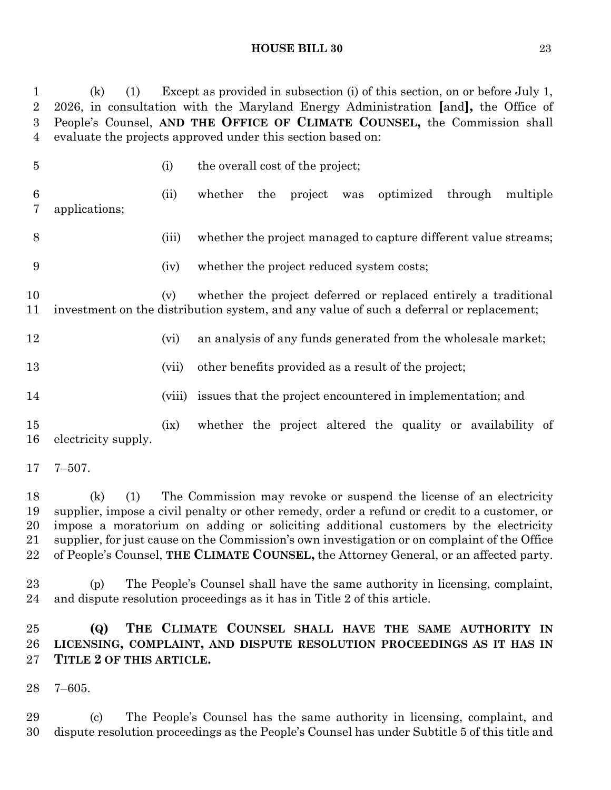(k) (1) Except as provided in subsection (i) of this section, on or before July 1, 2026, in consultation with the Maryland Energy Administration **[**and**],** the Office of People's Counsel, **AND THE OFFICE OF CLIMATE COUNSEL,** the Commission shall evaluate the projects approved under this section based on:

 (i) the overall cost of the project; (ii) whether the project was optimized through multiple applications; (iii) whether the project managed to capture different value streams; (iv) whether the project reduced system costs; (v) whether the project deferred or replaced entirely a traditional investment on the distribution system, and any value of such a deferral or replacement; 12 (vi) an analysis of any funds generated from the wholesale market; 13 (vii) other benefits provided as a result of the project; (viii) issues that the project encountered in implementation; and (ix) whether the project altered the quality or availability of electricity supply. 7–507. (k) (1) The Commission may revoke or suspend the license of an electricity supplier, impose a civil penalty or other remedy, order a refund or credit to a customer, or impose a moratorium on adding or soliciting additional customers by the electricity

 supplier, for just cause on the Commission's own investigation or on complaint of the Office of People's Counsel, **THE CLIMATE COUNSEL,** the Attorney General, or an affected party.

 (p) The People's Counsel shall have the same authority in licensing, complaint, and dispute resolution proceedings as it has in Title 2 of this article.

## **(Q) THE CLIMATE COUNSEL SHALL HAVE THE SAME AUTHORITY IN LICENSING, COMPLAINT, AND DISPUTE RESOLUTION PROCEEDINGS AS IT HAS IN TITLE 2 OF THIS ARTICLE.**

7–605.

 (c) The People's Counsel has the same authority in licensing, complaint, and dispute resolution proceedings as the People's Counsel has under Subtitle 5 of this title and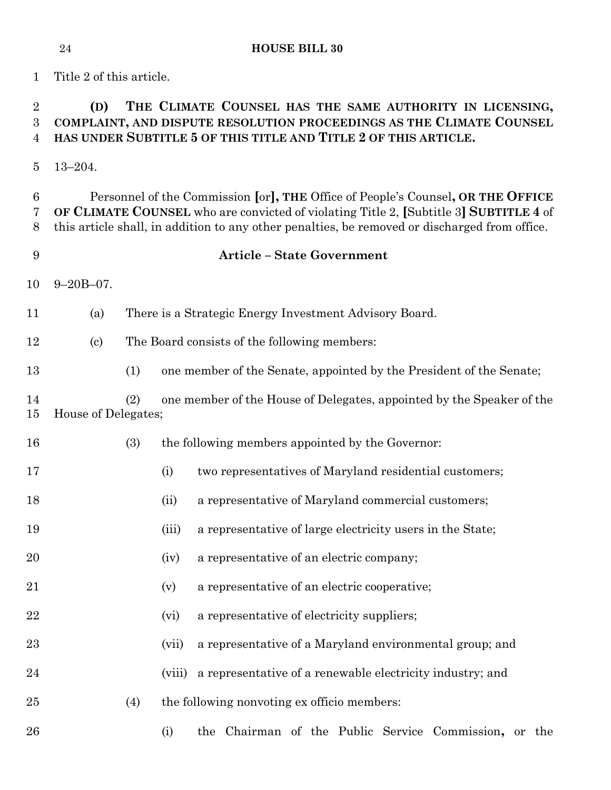Title 2 of this article.

# **(D) THE CLIMATE COUNSEL HAS THE SAME AUTHORITY IN LICENSING, COMPLAINT, AND DISPUTE RESOLUTION PROCEEDINGS AS THE CLIMATE COUNSEL HAS UNDER SUBTITLE 5 OF THIS TITLE AND TITLE 2 OF THIS ARTICLE.**

13–204.

 Personnel of the Commission **[**or**], THE** Office of People's Counsel**, OR THE OFFICE OF CLIMATE COUNSEL** who are convicted of violating Title 2, **[**Subtitle 3**] SUBTITLE 4** of this article shall, in addition to any other penalties, be removed or discharged from office.

#### **Article – State Government**

- 9–20B–07.
- (a) There is a Strategic Energy Investment Advisory Board.
- (c) The Board consists of the following members:
- (1) one member of the Senate, appointed by the President of the Senate;
- (2) one member of the House of Delegates, appointed by the Speaker of the House of Delegates;
- (3) the following members appointed by the Governor:
- (i) two representatives of Maryland residential customers;
- (ii) a representative of Maryland commercial customers;
- 19 (iii) a representative of large electricity users in the State;
- (iv) a representative of an electric company;
- (v) a representative of an electric cooperative;
- 22 (vi) a representative of electricity suppliers;
- (vii) a representative of a Maryland environmental group; and
- (viii) a representative of a renewable electricity industry; and
- (4) the following nonvoting ex officio members:
- (i) the Chairman of the Public Service Commission**,** or the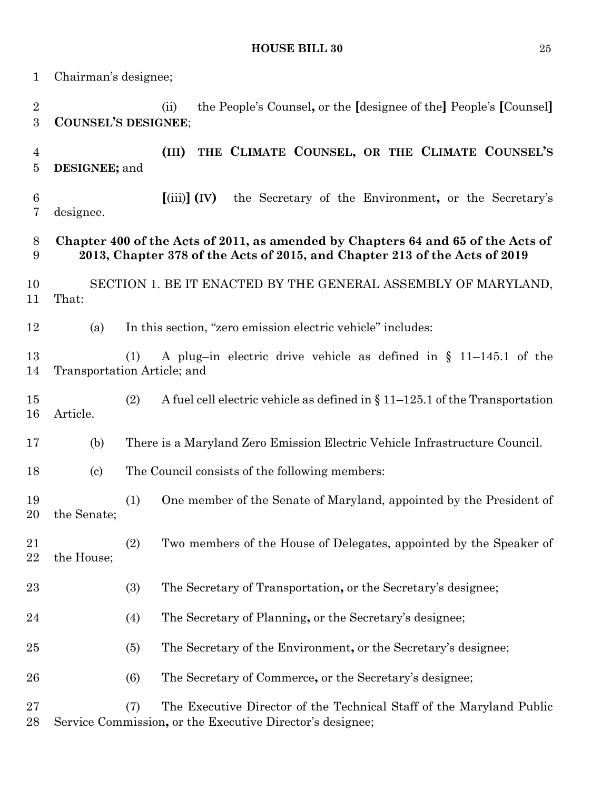Chairman's designee; (ii) the People's Counsel**,** or the **[**designee of the**]** People's **[**Counsel**] COUNSEL'S DESIGNEE**; **(III) THE CLIMATE COUNSEL, OR THE CLIMATE COUNSEL'S DESIGNEE;** and **[**(iii)**] (IV)** the Secretary of the Environment**,** or the Secretary's designee. **Chapter 400 of the Acts of 2011, as amended by Chapters 64 and 65 of the Acts of 2013, Chapter 378 of the Acts of 2015, and Chapter 213 of the Acts of 2019** SECTION 1. BE IT ENACTED BY THE GENERAL ASSEMBLY OF MARYLAND, That: (a) In this section, "zero emission electric vehicle" includes: (1) A plug–in electric drive vehicle as defined in § 11–145.1 of the Transportation Article; and (2) A fuel cell electric vehicle as defined in § 11–125.1 of the Transportation Article. (b) There is a Maryland Zero Emission Electric Vehicle Infrastructure Council. (c) The Council consists of the following members: (1) One member of the Senate of Maryland, appointed by the President of the Senate; (2) Two members of the House of Delegates, appointed by the Speaker of the House; (3) The Secretary of Transportation**,** or the Secretary's designee; (4) The Secretary of Planning**,** or the Secretary's designee; (5) The Secretary of the Environment**,** or the Secretary's designee; (6) The Secretary of Commerce**,** or the Secretary's designee; (7) The Executive Director of the Technical Staff of the Maryland Public Service Commission**,** or the Executive Director's designee;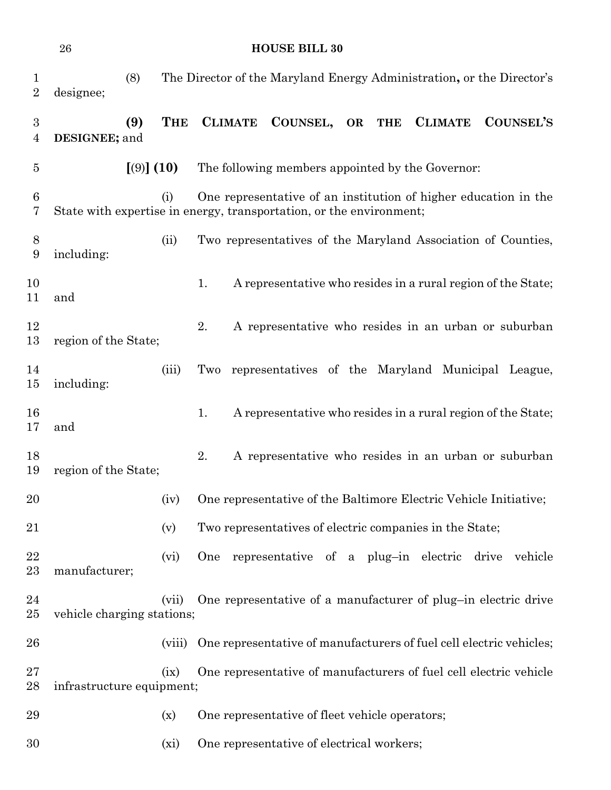|                                  | <b>HOUSE BILL 30</b><br>26                                          |            |            |                                                |  |          |  |           |            |                                                                       |  |                  |
|----------------------------------|---------------------------------------------------------------------|------------|------------|------------------------------------------------|--|----------|--|-----------|------------|-----------------------------------------------------------------------|--|------------------|
| $\mathbf{1}$<br>$\boldsymbol{2}$ | designee;                                                           | (8)        |            |                                                |  |          |  |           |            | The Director of the Maryland Energy Administration, or the Director's |  |                  |
| $\boldsymbol{3}$<br>4            | DESIGNEE; and                                                       | (9)        | <b>THE</b> | <b>CLIMATE</b>                                 |  | COUNSEL, |  | <b>OR</b> | <b>THE</b> | <b>CLIMATE</b>                                                        |  | <b>COUNSEL'S</b> |
| $\overline{5}$                   |                                                                     | $(9)$ (10) |            |                                                |  |          |  |           |            | The following members appointed by the Governor:                      |  |                  |
| 6<br>7                           | State with expertise in energy, transportation, or the environment; |            | (i)        |                                                |  |          |  |           |            | One representative of an institution of higher education in the       |  |                  |
| 8<br>9                           | including:                                                          |            | (ii)       |                                                |  |          |  |           |            | Two representatives of the Maryland Association of Counties,          |  |                  |
| 10<br>11                         | and                                                                 |            |            | 1.                                             |  |          |  |           |            | A representative who resides in a rural region of the State;          |  |                  |
| 12<br>13                         | region of the State;                                                |            |            | 2.                                             |  |          |  |           |            | A representative who resides in an urban or suburban                  |  |                  |
| 14<br>15                         | including:                                                          |            | (iii)      | Two                                            |  |          |  |           |            | representatives of the Maryland Municipal League,                     |  |                  |
| 16<br>17                         | and                                                                 |            |            | 1.                                             |  |          |  |           |            | A representative who resides in a rural region of the State;          |  |                  |
| 18<br>19                         | region of the State;                                                |            |            | 2.                                             |  |          |  |           |            | A representative who resides in an urban or suburban                  |  |                  |
| 20                               |                                                                     |            | (iv)       |                                                |  |          |  |           |            | One representative of the Baltimore Electric Vehicle Initiative;      |  |                  |
| 21                               |                                                                     |            | (v)        |                                                |  |          |  |           |            | Two representatives of electric companies in the State;               |  |                  |
| 22<br>23                         | manufacturer;                                                       |            | (vi)       | One                                            |  |          |  |           |            | representative of a plug-in electric drive vehicle                    |  |                  |
| 24<br>$25\,$                     | vehicle charging stations;                                          |            | (vii)      |                                                |  |          |  |           |            | One representative of a manufacturer of plug-in electric drive        |  |                  |
| 26                               |                                                                     |            | (viii)     |                                                |  |          |  |           |            | One representative of manufacturers of fuel cell electric vehicles;   |  |                  |
| 27<br>28                         | infrastructure equipment;                                           |            | (ix)       |                                                |  |          |  |           |            | One representative of manufacturers of fuel cell electric vehicle     |  |                  |
| 29                               |                                                                     |            | (x)        | One representative of fleet vehicle operators; |  |          |  |           |            |                                                                       |  |                  |
| 30                               |                                                                     |            | (xi)       | One representative of electrical workers;      |  |          |  |           |            |                                                                       |  |                  |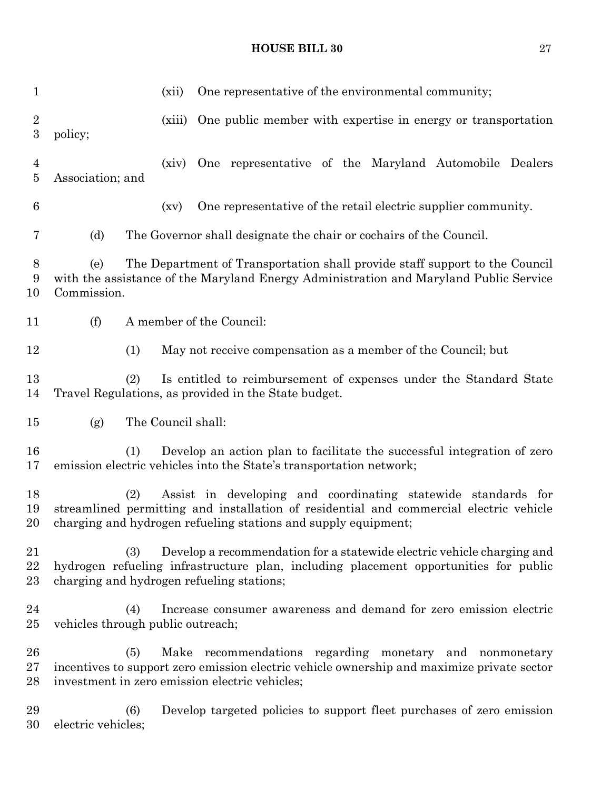| $\mathbf{1}$                         |                                                                                                                                                                                            | One representative of the environmental community;<br>(xii)                                                                                                                                                               |  |  |  |  |  |
|--------------------------------------|--------------------------------------------------------------------------------------------------------------------------------------------------------------------------------------------|---------------------------------------------------------------------------------------------------------------------------------------------------------------------------------------------------------------------------|--|--|--|--|--|
| $\boldsymbol{2}$<br>$\boldsymbol{3}$ | policy;                                                                                                                                                                                    | One public member with expertise in energy or transportation<br>(xiii)                                                                                                                                                    |  |  |  |  |  |
| $\overline{4}$<br>$\bf 5$            | Association; and                                                                                                                                                                           | One representative of the Maryland Automobile Dealers<br>(xiv)                                                                                                                                                            |  |  |  |  |  |
| 6                                    |                                                                                                                                                                                            | One representative of the retail electric supplier community.<br>(xv)                                                                                                                                                     |  |  |  |  |  |
| 7                                    | (d)                                                                                                                                                                                        | The Governor shall designate the chair or cochairs of the Council.                                                                                                                                                        |  |  |  |  |  |
| 8<br>9<br>10                         | The Department of Transportation shall provide staff support to the Council<br>(e)<br>with the assistance of the Maryland Energy Administration and Maryland Public Service<br>Commission. |                                                                                                                                                                                                                           |  |  |  |  |  |
| 11                                   | (f)                                                                                                                                                                                        | A member of the Council:                                                                                                                                                                                                  |  |  |  |  |  |
| 12                                   | (1)                                                                                                                                                                                        | May not receive compensation as a member of the Council; but                                                                                                                                                              |  |  |  |  |  |
| 13<br>14                             | Is entitled to reimbursement of expenses under the Standard State<br>(2)<br>Travel Regulations, as provided in the State budget.                                                           |                                                                                                                                                                                                                           |  |  |  |  |  |
| $15\,$                               | (g)                                                                                                                                                                                        | The Council shall:                                                                                                                                                                                                        |  |  |  |  |  |
| 16<br>17                             | (1)                                                                                                                                                                                        | Develop an action plan to facilitate the successful integration of zero<br>emission electric vehicles into the State's transportation network;                                                                            |  |  |  |  |  |
| 18<br>19<br>20                       | (2)                                                                                                                                                                                        | Assist in developing and coordinating statewide standards for<br>streamlined permitting and installation of residential and commercial electric vehicle<br>charging and hydrogen refueling stations and supply equipment; |  |  |  |  |  |
| 21<br>22<br>$^{23}$                  | (3)                                                                                                                                                                                        | Develop a recommendation for a statewide electric vehicle charging and<br>hydrogen refueling infrastructure plan, including placement opportunities for public<br>charging and hydrogen refueling stations;               |  |  |  |  |  |
| 24<br>25                             | (4)<br>vehicles through public outreach;                                                                                                                                                   | Increase consumer awareness and demand for zero emission electric                                                                                                                                                         |  |  |  |  |  |
| 26<br>$27\,$<br>28                   | (5)                                                                                                                                                                                        | Make recommendations regarding monetary and nonmonetary<br>incentives to support zero emission electric vehicle ownership and maximize private sector<br>investment in zero emission electric vehicles;                   |  |  |  |  |  |
|                                      |                                                                                                                                                                                            |                                                                                                                                                                                                                           |  |  |  |  |  |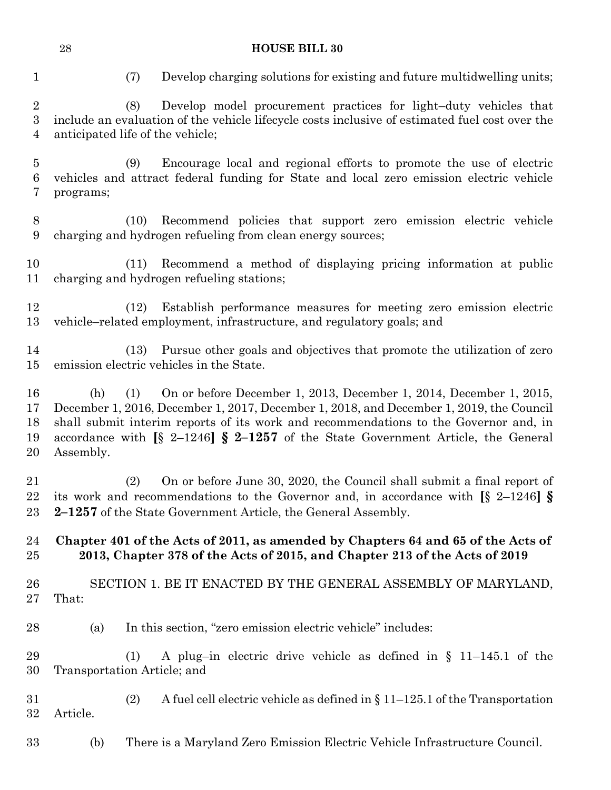| 28 | <b>HOUSE BILL 30</b> |
|----|----------------------|
|    |                      |

|  | × |
|--|---|
|  | ٧ |
|  | ٦ |

(7) Develop charging solutions for existing and future multidwelling units;

 (8) Develop model procurement practices for light–duty vehicles that include an evaluation of the vehicle lifecycle costs inclusive of estimated fuel cost over the anticipated life of the vehicle;

 (9) Encourage local and regional efforts to promote the use of electric vehicles and attract federal funding for State and local zero emission electric vehicle programs;

 (10) Recommend policies that support zero emission electric vehicle charging and hydrogen refueling from clean energy sources;

 (11) Recommend a method of displaying pricing information at public charging and hydrogen refueling stations;

 (12) Establish performance measures for meeting zero emission electric vehicle–related employment, infrastructure, and regulatory goals; and

 (13) Pursue other goals and objectives that promote the utilization of zero emission electric vehicles in the State.

 (h) (1) On or before December 1, 2013, December 1, 2014, December 1, 2015, December 1, 2016, December 1, 2017, December 1, 2018, and December 1, 2019, the Council shall submit interim reports of its work and recommendations to the Governor and, in accordance with **[**§ 2–1246**] § 2–1257** of the State Government Article, the General Assembly.

 (2) On or before June 30, 2020, the Council shall submit a final report of its work and recommendations to the Governor and, in accordance with **[**§ 2–1246**] § 2–1257** of the State Government Article, the General Assembly.

#### **Chapter 401 of the Acts of 2011, as amended by Chapters 64 and 65 of the Acts of 2013, Chapter 378 of the Acts of 2015, and Chapter 213 of the Acts of 2019**

## SECTION 1. BE IT ENACTED BY THE GENERAL ASSEMBLY OF MARYLAND, That:

- (a) In this section, "zero emission electric vehicle" includes:
- (1) A plug–in electric drive vehicle as defined in § 11–145.1 of the Transportation Article; and
- (2) A fuel cell electric vehicle as defined in § 11–125.1 of the Transportation Article.
- (b) There is a Maryland Zero Emission Electric Vehicle Infrastructure Council.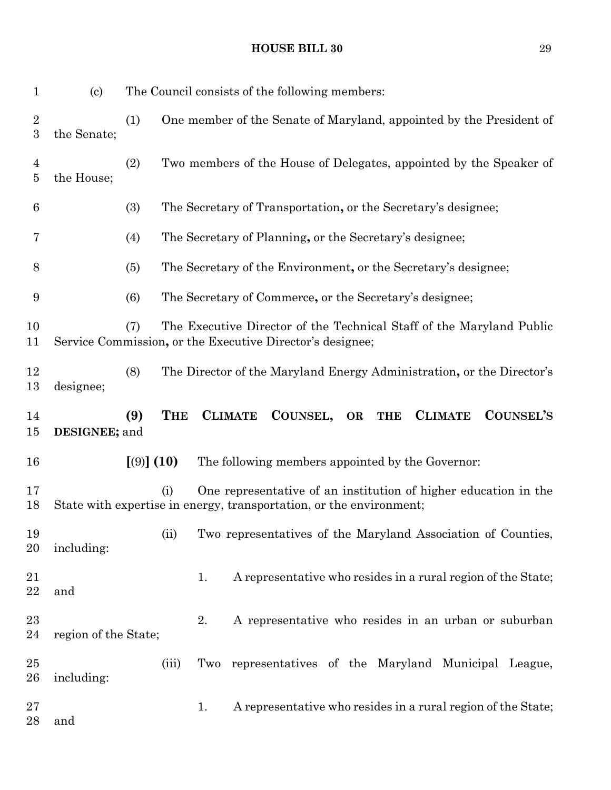(c) The Council consists of the following members: (1) One member of the Senate of Maryland, appointed by the President of the Senate; (2) Two members of the House of Delegates, appointed by the Speaker of the House; (3) The Secretary of Transportation**,** or the Secretary's designee; (4) The Secretary of Planning**,** or the Secretary's designee; (5) The Secretary of the Environment**,** or the Secretary's designee; (6) The Secretary of Commerce**,** or the Secretary's designee; (7) The Executive Director of the Technical Staff of the Maryland Public Service Commission**,** or the Executive Director's designee; (8) The Director of the Maryland Energy Administration**,** or the Director's designee; **(9) THE CLIMATE COUNSEL, OR THE CLIMATE COUNSEL'S DESIGNEE;** and **[**(9)**] (10)** The following members appointed by the Governor: (i) One representative of an institution of higher education in the State with expertise in energy, transportation, or the environment;

 (ii) Two representatives of the Maryland Association of Counties, including:

21 1. A representative who resides in a rural region of the State; and

- 2. A representative who resides in an urban or suburban region of the State;
- (iii) Two representatives of the Maryland Municipal League, including:

27 1. A representative who resides in a rural region of the State; and

## **HOUSE BILL 30** 29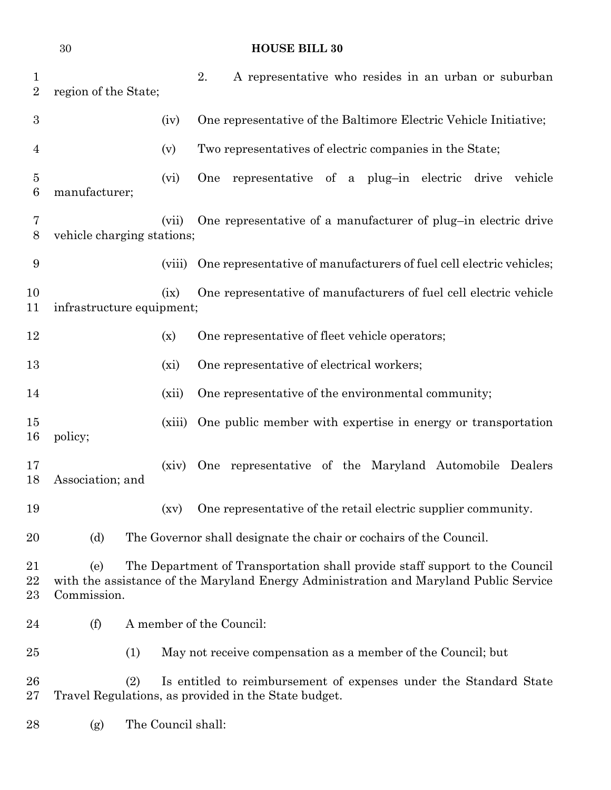| $\mathbf{1}$<br>$\overline{2}$ | region of the State;                                                                                                                                                                       |                    | 2. | A representative who resides in an urban or suburban                                                                      |  |  |
|--------------------------------|--------------------------------------------------------------------------------------------------------------------------------------------------------------------------------------------|--------------------|----|---------------------------------------------------------------------------------------------------------------------------|--|--|
| $\boldsymbol{3}$               |                                                                                                                                                                                            | (iv)               |    | One representative of the Baltimore Electric Vehicle Initiative;                                                          |  |  |
| 4                              |                                                                                                                                                                                            | (v)                |    | Two representatives of electric companies in the State;                                                                   |  |  |
| 5<br>6                         | manufacturer;                                                                                                                                                                              | (vi)               |    | One representative of a plug-in electric drive vehicle                                                                    |  |  |
| 7<br>8                         | vehicle charging stations;                                                                                                                                                                 | (vii)              |    | One representative of a manufacturer of plug-in electric drive                                                            |  |  |
| $\boldsymbol{9}$               |                                                                                                                                                                                            | (viii)             |    | One representative of manufacturers of fuel cell electric vehicles;                                                       |  |  |
| 10<br>11                       | infrastructure equipment;                                                                                                                                                                  | (ix)               |    | One representative of manufacturers of fuel cell electric vehicle                                                         |  |  |
| 12                             |                                                                                                                                                                                            | (x)                |    | One representative of fleet vehicle operators;                                                                            |  |  |
| 13                             |                                                                                                                                                                                            | (xi)               |    | One representative of electrical workers;                                                                                 |  |  |
| 14                             |                                                                                                                                                                                            | (xii)              |    | One representative of the environmental community;                                                                        |  |  |
| 15<br>16                       | policy;                                                                                                                                                                                    | (xiii)             |    | One public member with expertise in energy or transportation                                                              |  |  |
| 17<br>18                       | Association; and                                                                                                                                                                           | (xiv)              |    | One representative of the Maryland Automobile Dealers                                                                     |  |  |
| 19                             |                                                                                                                                                                                            |                    |    | (xv) One representative of the retail electric supplier community.                                                        |  |  |
| 20                             | (d)                                                                                                                                                                                        |                    |    | The Governor shall designate the chair or cochairs of the Council.                                                        |  |  |
| 21<br>22<br>$23\,$             | The Department of Transportation shall provide staff support to the Council<br>(e)<br>with the assistance of the Maryland Energy Administration and Maryland Public Service<br>Commission. |                    |    |                                                                                                                           |  |  |
| 24                             | (f)                                                                                                                                                                                        |                    |    | A member of the Council:                                                                                                  |  |  |
| 25                             | (1)                                                                                                                                                                                        |                    |    | May not receive compensation as a member of the Council; but                                                              |  |  |
| 26<br>$27\,$                   | (2)                                                                                                                                                                                        |                    |    | Is entitled to reimbursement of expenses under the Standard State<br>Travel Regulations, as provided in the State budget. |  |  |
| 28                             | (g)                                                                                                                                                                                        | The Council shall: |    |                                                                                                                           |  |  |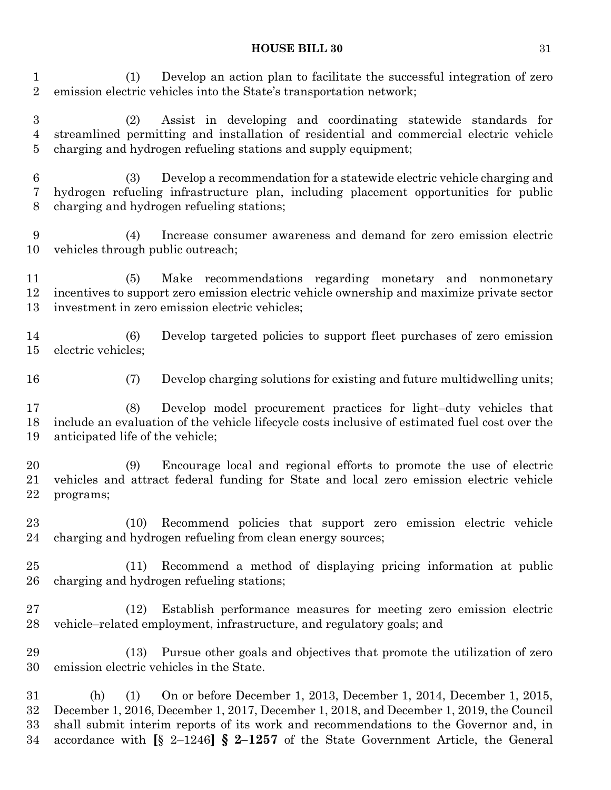(1) Develop an action plan to facilitate the successful integration of zero emission electric vehicles into the State's transportation network;

 (2) Assist in developing and coordinating statewide standards for streamlined permitting and installation of residential and commercial electric vehicle charging and hydrogen refueling stations and supply equipment;

 (3) Develop a recommendation for a statewide electric vehicle charging and hydrogen refueling infrastructure plan, including placement opportunities for public charging and hydrogen refueling stations;

 (4) Increase consumer awareness and demand for zero emission electric vehicles through public outreach;

 (5) Make recommendations regarding monetary and nonmonetary incentives to support zero emission electric vehicle ownership and maximize private sector investment in zero emission electric vehicles;

 (6) Develop targeted policies to support fleet purchases of zero emission electric vehicles;

(7) Develop charging solutions for existing and future multidwelling units;

 (8) Develop model procurement practices for light–duty vehicles that include an evaluation of the vehicle lifecycle costs inclusive of estimated fuel cost over the anticipated life of the vehicle;

 (9) Encourage local and regional efforts to promote the use of electric vehicles and attract federal funding for State and local zero emission electric vehicle programs;

 (10) Recommend policies that support zero emission electric vehicle charging and hydrogen refueling from clean energy sources;

 (11) Recommend a method of displaying pricing information at public charging and hydrogen refueling stations;

 (12) Establish performance measures for meeting zero emission electric vehicle–related employment, infrastructure, and regulatory goals; and

 (13) Pursue other goals and objectives that promote the utilization of zero emission electric vehicles in the State.

 (h) (1) On or before December 1, 2013, December 1, 2014, December 1, 2015, December 1, 2016, December 1, 2017, December 1, 2018, and December 1, 2019, the Council shall submit interim reports of its work and recommendations to the Governor and, in accordance with **[**§ 2–1246**] § 2–1257** of the State Government Article, the General